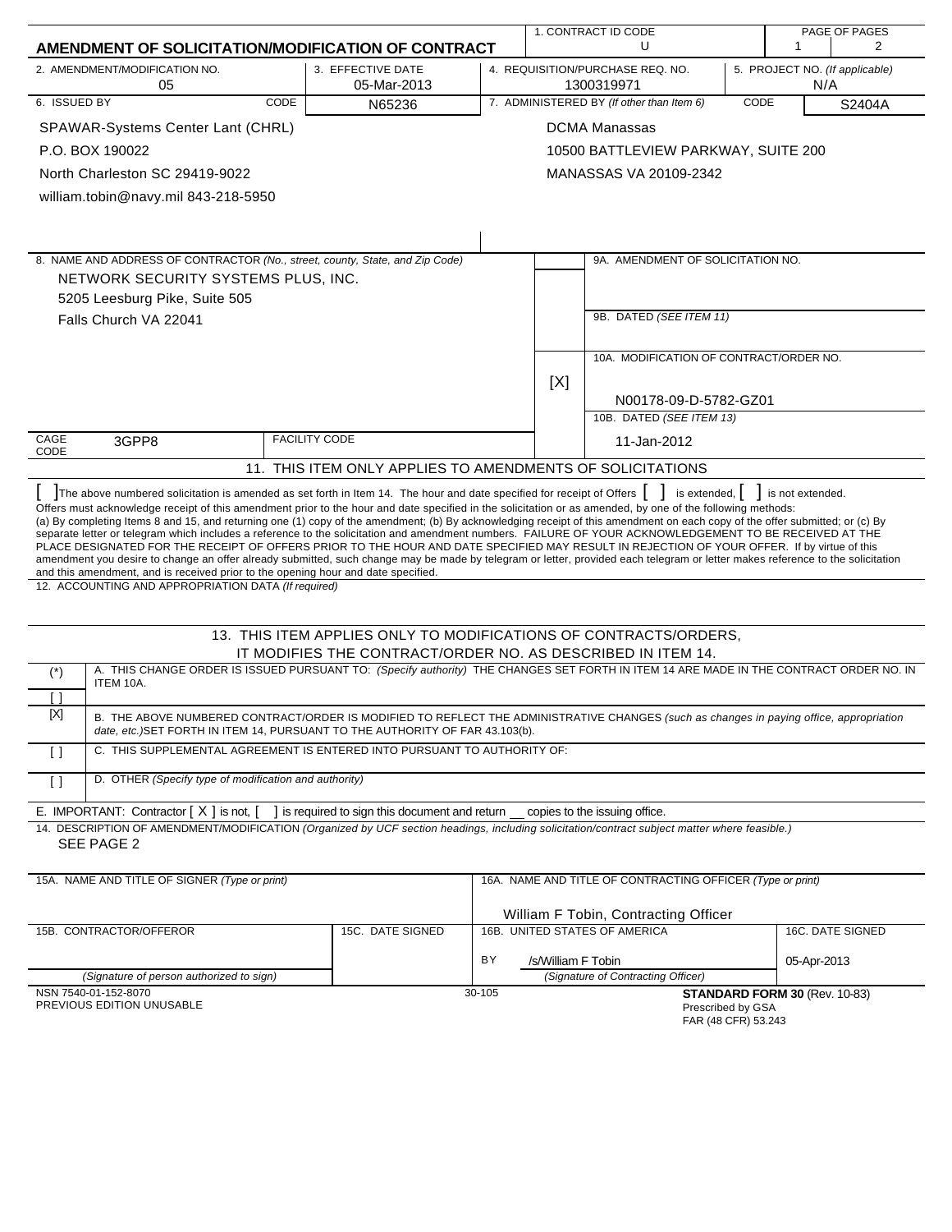| 1. CONTRACT ID CODE<br>PAGE OF PAGES                                                                                                                                                                                                                                                                                                                                                                                                                                                                                                                                                                                                                                                                                                                                                                                                                                                                                                                                                                                                                                                                          |                                                                  |        |                                                                                         |                                                            |      |                               |                  |
|---------------------------------------------------------------------------------------------------------------------------------------------------------------------------------------------------------------------------------------------------------------------------------------------------------------------------------------------------------------------------------------------------------------------------------------------------------------------------------------------------------------------------------------------------------------------------------------------------------------------------------------------------------------------------------------------------------------------------------------------------------------------------------------------------------------------------------------------------------------------------------------------------------------------------------------------------------------------------------------------------------------------------------------------------------------------------------------------------------------|------------------------------------------------------------------|--------|-----------------------------------------------------------------------------------------|------------------------------------------------------------|------|-------------------------------|------------------|
| AMENDMENT OF SOLICITATION/MODIFICATION OF CONTRACT                                                                                                                                                                                                                                                                                                                                                                                                                                                                                                                                                                                                                                                                                                                                                                                                                                                                                                                                                                                                                                                            |                                                                  |        |                                                                                         | U                                                          |      | 1                             | 2                |
| 2. AMENDMENT/MODIFICATION NO.<br>05                                                                                                                                                                                                                                                                                                                                                                                                                                                                                                                                                                                                                                                                                                                                                                                                                                                                                                                                                                                                                                                                           | 3. EFFECTIVE DATE<br>05-Mar-2013                                 |        | 4. REQUISITION/PURCHASE REQ. NO.<br>5. PROJECT NO. (If applicable)<br>1300319971<br>N/A |                                                            |      |                               |                  |
| 6. ISSUED BY<br>CODE                                                                                                                                                                                                                                                                                                                                                                                                                                                                                                                                                                                                                                                                                                                                                                                                                                                                                                                                                                                                                                                                                          | N65236                                                           |        |                                                                                         | 7. ADMINISTERED BY (If other than Item 6)                  | CODE |                               | S2404A           |
| SPAWAR-Systems Center Lant (CHRL)                                                                                                                                                                                                                                                                                                                                                                                                                                                                                                                                                                                                                                                                                                                                                                                                                                                                                                                                                                                                                                                                             |                                                                  |        |                                                                                         | <b>DCMA Manassas</b>                                       |      |                               |                  |
| P.O. BOX 190022                                                                                                                                                                                                                                                                                                                                                                                                                                                                                                                                                                                                                                                                                                                                                                                                                                                                                                                                                                                                                                                                                               |                                                                  |        |                                                                                         | 10500 BATTLEVIEW PARKWAY, SUITE 200                        |      |                               |                  |
| North Charleston SC 29419-9022                                                                                                                                                                                                                                                                                                                                                                                                                                                                                                                                                                                                                                                                                                                                                                                                                                                                                                                                                                                                                                                                                |                                                                  |        |                                                                                         | MANASSAS VA 20109-2342                                     |      |                               |                  |
| william.tobin@navy.mil 843-218-5950                                                                                                                                                                                                                                                                                                                                                                                                                                                                                                                                                                                                                                                                                                                                                                                                                                                                                                                                                                                                                                                                           |                                                                  |        |                                                                                         |                                                            |      |                               |                  |
|                                                                                                                                                                                                                                                                                                                                                                                                                                                                                                                                                                                                                                                                                                                                                                                                                                                                                                                                                                                                                                                                                                               |                                                                  |        |                                                                                         |                                                            |      |                               |                  |
|                                                                                                                                                                                                                                                                                                                                                                                                                                                                                                                                                                                                                                                                                                                                                                                                                                                                                                                                                                                                                                                                                                               |                                                                  |        |                                                                                         |                                                            |      |                               |                  |
| 8. NAME AND ADDRESS OF CONTRACTOR (No., street, county, State, and Zip Code)                                                                                                                                                                                                                                                                                                                                                                                                                                                                                                                                                                                                                                                                                                                                                                                                                                                                                                                                                                                                                                  |                                                                  |        |                                                                                         | 9A. AMENDMENT OF SOLICITATION NO.                          |      |                               |                  |
| NETWORK SECURITY SYSTEMS PLUS, INC.                                                                                                                                                                                                                                                                                                                                                                                                                                                                                                                                                                                                                                                                                                                                                                                                                                                                                                                                                                                                                                                                           |                                                                  |        |                                                                                         |                                                            |      |                               |                  |
| 5205 Leesburg Pike, Suite 505                                                                                                                                                                                                                                                                                                                                                                                                                                                                                                                                                                                                                                                                                                                                                                                                                                                                                                                                                                                                                                                                                 |                                                                  |        |                                                                                         |                                                            |      |                               |                  |
| Falls Church VA 22041                                                                                                                                                                                                                                                                                                                                                                                                                                                                                                                                                                                                                                                                                                                                                                                                                                                                                                                                                                                                                                                                                         |                                                                  |        |                                                                                         | 9B. DATED (SEE ITEM 11)                                    |      |                               |                  |
|                                                                                                                                                                                                                                                                                                                                                                                                                                                                                                                                                                                                                                                                                                                                                                                                                                                                                                                                                                                                                                                                                                               |                                                                  |        |                                                                                         | 10A. MODIFICATION OF CONTRACT/ORDER NO.                    |      |                               |                  |
|                                                                                                                                                                                                                                                                                                                                                                                                                                                                                                                                                                                                                                                                                                                                                                                                                                                                                                                                                                                                                                                                                                               |                                                                  |        | [X]                                                                                     |                                                            |      |                               |                  |
|                                                                                                                                                                                                                                                                                                                                                                                                                                                                                                                                                                                                                                                                                                                                                                                                                                                                                                                                                                                                                                                                                                               |                                                                  |        |                                                                                         | N00178-09-D-5782-GZ01                                      |      |                               |                  |
|                                                                                                                                                                                                                                                                                                                                                                                                                                                                                                                                                                                                                                                                                                                                                                                                                                                                                                                                                                                                                                                                                                               |                                                                  |        |                                                                                         | 10B. DATED (SEE ITEM 13)                                   |      |                               |                  |
| CAGE<br>3GPP8<br>CODE                                                                                                                                                                                                                                                                                                                                                                                                                                                                                                                                                                                                                                                                                                                                                                                                                                                                                                                                                                                                                                                                                         | <b>FACILITY CODE</b>                                             |        |                                                                                         | 11-Jan-2012                                                |      |                               |                  |
|                                                                                                                                                                                                                                                                                                                                                                                                                                                                                                                                                                                                                                                                                                                                                                                                                                                                                                                                                                                                                                                                                                               | 11. THIS ITEM ONLY APPLIES TO AMENDMENTS OF SOLICITATIONS        |        |                                                                                         |                                                            |      |                               |                  |
| The above numbered solicitation is amended as set forth in Item 14. The hour and date specified for receipt of Offers  <br>Offers must acknowledge receipt of this amendment prior to the hour and date specified in the solicitation or as amended, by one of the following methods:<br>(a) By completing Items 8 and 15, and returning one (1) copy of the amendment; (b) By acknowledging receipt of this amendment on each copy of the offer submitted; or (c) By<br>separate letter or telegram which includes a reference to the solicitation and amendment numbers. FAILURE OF YOUR ACKNOWLEDGEMENT TO BE RECEIVED AT THE<br>PLACE DESIGNATED FOR THE RECEIPT OF OFFERS PRIOR TO THE HOUR AND DATE SPECIFIED MAY RESULT IN REJECTION OF YOUR OFFER. If by virtue of this<br>amendment you desire to change an offer already submitted, such change may be made by telegram or letter, provided each telegram or letter makes reference to the solicitation<br>and this amendment, and is received prior to the opening hour and date specified.<br>12. ACCOUNTING AND APPROPRIATION DATA (If required) |                                                                  |        |                                                                                         | is extended,                                               |      | is not extended.              |                  |
|                                                                                                                                                                                                                                                                                                                                                                                                                                                                                                                                                                                                                                                                                                                                                                                                                                                                                                                                                                                                                                                                                                               | 13. THIS ITEM APPLIES ONLY TO MODIFICATIONS OF CONTRACTS/ORDERS, |        |                                                                                         |                                                            |      |                               |                  |
|                                                                                                                                                                                                                                                                                                                                                                                                                                                                                                                                                                                                                                                                                                                                                                                                                                                                                                                                                                                                                                                                                                               | IT MODIFIES THE CONTRACT/ORDER NO. AS DESCRIBED IN ITEM 14.      |        |                                                                                         |                                                            |      |                               |                  |
| A. THIS CHANGE ORDER IS ISSUED PURSUANT TO: (Specify authority) THE CHANGES SET FORTH IN ITEM 14 ARE MADE IN THE CONTRACT ORDER NO. IN<br>$(\dot{\phantom{a}})$<br>ITEM 10A.                                                                                                                                                                                                                                                                                                                                                                                                                                                                                                                                                                                                                                                                                                                                                                                                                                                                                                                                  |                                                                  |        |                                                                                         |                                                            |      |                               |                  |
| Ιl<br>$[{\sf X}]$                                                                                                                                                                                                                                                                                                                                                                                                                                                                                                                                                                                                                                                                                                                                                                                                                                                                                                                                                                                                                                                                                             |                                                                  |        |                                                                                         |                                                            |      |                               |                  |
| B. THE ABOVE NUMBERED CONTRACT/ORDER IS MODIFIED TO REFLECT THE ADMINISTRATIVE CHANGES (such as changes in paying office, appropriation<br>date, etc.) SET FORTH IN ITEM 14, PURSUANT TO THE AUTHORITY OF FAR 43.103(b).                                                                                                                                                                                                                                                                                                                                                                                                                                                                                                                                                                                                                                                                                                                                                                                                                                                                                      |                                                                  |        |                                                                                         |                                                            |      |                               |                  |
| C. THIS SUPPLEMENTAL AGREEMENT IS ENTERED INTO PURSUANT TO AUTHORITY OF:<br>$\lceil$                                                                                                                                                                                                                                                                                                                                                                                                                                                                                                                                                                                                                                                                                                                                                                                                                                                                                                                                                                                                                          |                                                                  |        |                                                                                         |                                                            |      |                               |                  |
| D. OTHER (Specify type of modification and authority)<br>$\left[\right]$                                                                                                                                                                                                                                                                                                                                                                                                                                                                                                                                                                                                                                                                                                                                                                                                                                                                                                                                                                                                                                      |                                                                  |        |                                                                                         |                                                            |      |                               |                  |
| E. IMPORTANT: Contractor $[X]$ is not, $[$                                                                                                                                                                                                                                                                                                                                                                                                                                                                                                                                                                                                                                                                                                                                                                                                                                                                                                                                                                                                                                                                    | is required to sign this document and return                     |        |                                                                                         | copies to the issuing office.                              |      |                               |                  |
| 14. DESCRIPTION OF AMENDMENT/MODIFICATION (Organized by UCF section headings, including solicitation/contract subject matter where feasible.)<br>SEE PAGE 2                                                                                                                                                                                                                                                                                                                                                                                                                                                                                                                                                                                                                                                                                                                                                                                                                                                                                                                                                   |                                                                  |        |                                                                                         |                                                            |      |                               |                  |
| 15A. NAME AND TITLE OF SIGNER (Type or print)                                                                                                                                                                                                                                                                                                                                                                                                                                                                                                                                                                                                                                                                                                                                                                                                                                                                                                                                                                                                                                                                 |                                                                  |        |                                                                                         | 16A. NAME AND TITLE OF CONTRACTING OFFICER (Type or print) |      |                               |                  |
|                                                                                                                                                                                                                                                                                                                                                                                                                                                                                                                                                                                                                                                                                                                                                                                                                                                                                                                                                                                                                                                                                                               |                                                                  |        |                                                                                         | William F Tobin, Contracting Officer                       |      |                               |                  |
| 15B. CONTRACTOR/OFFEROR                                                                                                                                                                                                                                                                                                                                                                                                                                                                                                                                                                                                                                                                                                                                                                                                                                                                                                                                                                                                                                                                                       | 15C. DATE SIGNED                                                 |        |                                                                                         | 16B. UNITED STATES OF AMERICA                              |      |                               | 16C. DATE SIGNED |
|                                                                                                                                                                                                                                                                                                                                                                                                                                                                                                                                                                                                                                                                                                                                                                                                                                                                                                                                                                                                                                                                                                               |                                                                  | ΒY     | /s/William F Tobin                                                                      |                                                            |      | 05-Apr-2013                   |                  |
| (Signature of person authorized to sign)                                                                                                                                                                                                                                                                                                                                                                                                                                                                                                                                                                                                                                                                                                                                                                                                                                                                                                                                                                                                                                                                      |                                                                  |        |                                                                                         | (Signature of Contracting Officer)                         |      |                               |                  |
| NSN 7540-01-152-8070<br>PREVIOUS EDITION UNUSABLE                                                                                                                                                                                                                                                                                                                                                                                                                                                                                                                                                                                                                                                                                                                                                                                                                                                                                                                                                                                                                                                             |                                                                  | 30-105 |                                                                                         | Prescribed by GSA                                          |      | STANDARD FORM 30 (Rev. 10-83) |                  |

FAR (48 CFR) 53.243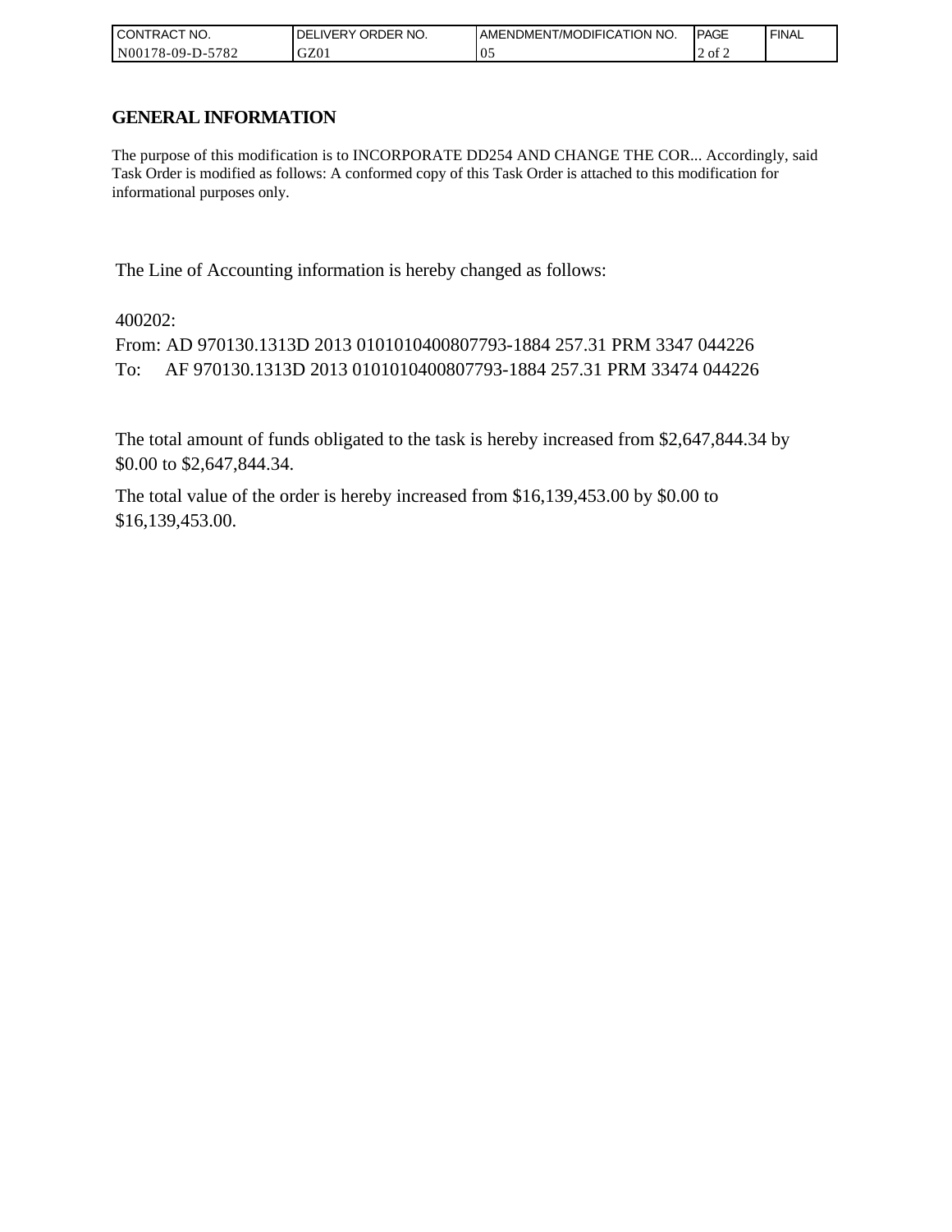| I CONTRACT NO.                      | <b>ORDER</b><br>NO.<br>IVERY<br>IDEL. | AMENDMENT/MODIFICATION NO. | <b>IPAGE</b> | <b>FINAL</b> |
|-------------------------------------|---------------------------------------|----------------------------|--------------|--------------|
| N00178-0<br>5700<br>-09-D-:<br>∠ه ' | GZ01                                  | $\mathbf{v}$ .             | 2 of 2       |              |

## **GENERAL INFORMATION**

The purpose of this modification is to INCORPORATE DD254 AND CHANGE THE COR... Accordingly, said Task Order is modified as follows: A conformed copy of this Task Order is attached to this modification for informational purposes only.

The Line of Accounting information is hereby changed as follows:

400202:

From: AD 970130.1313D 2013 0101010400807793-1884 257.31 PRM 3347 044226 To: AF 970130.1313D 2013 0101010400807793-1884 257.31 PRM 33474 044226

The total amount of funds obligated to the task is hereby increased from \$2,647,844.34 by \$0.00 to \$2,647,844.34.

The total value of the order is hereby increased from \$16,139,453.00 by \$0.00 to \$16,139,453.00.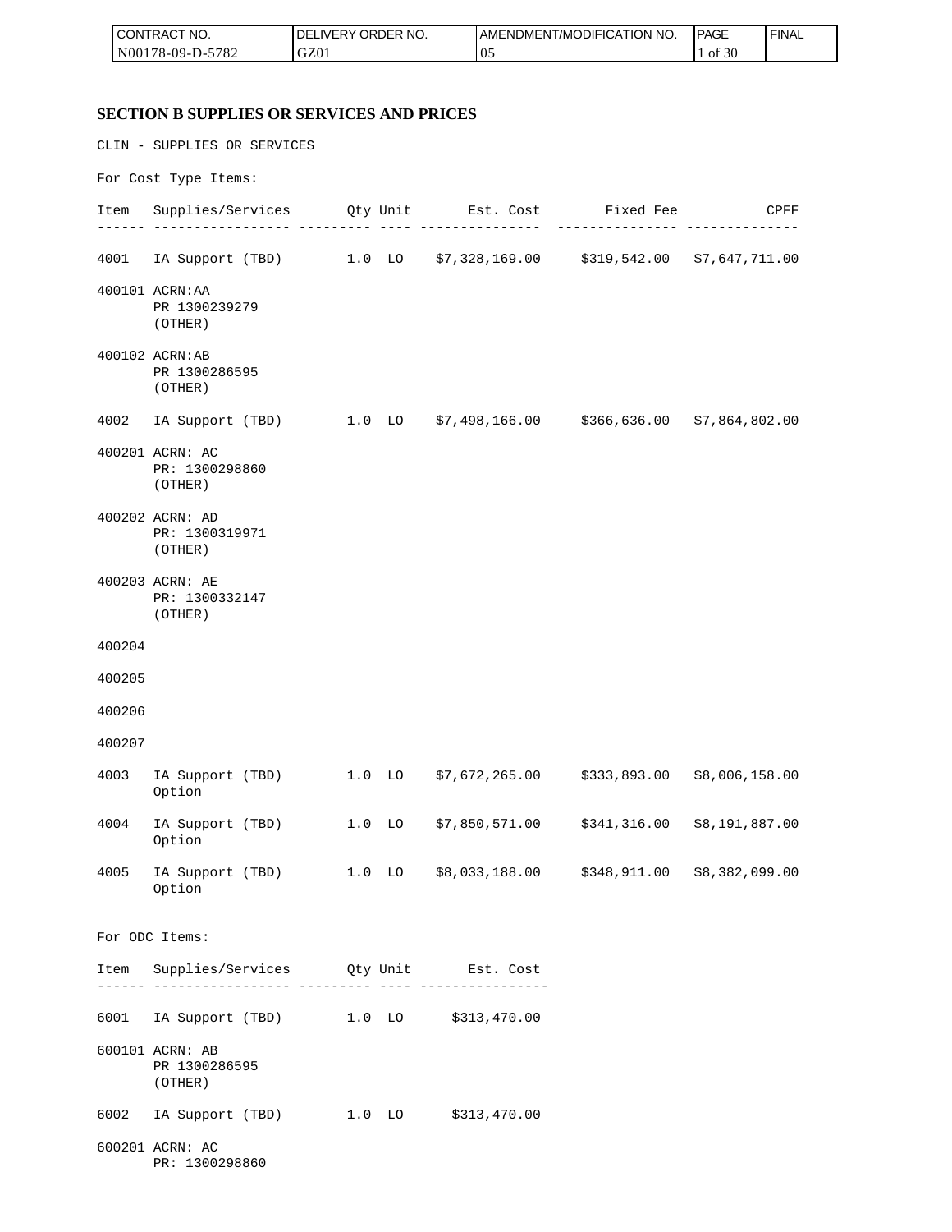| I CON'<br><b>ITRACT NO.</b> | ORDER NO.<br><b>DELIVERY</b> | I AMENDMENT/MODIFICATION NO. | <b>IPAGE</b>  | <b>FINAL</b> |
|-----------------------------|------------------------------|------------------------------|---------------|--------------|
| N00178-09-D-5<br>5782       | GZ01                         | ' 05                         | 0.20<br>of 30 |              |

## **SECTION B SUPPLIES OR SERVICES AND PRICES**

|        | CLIN - SUPPLIES OR SERVICES                                                  |                   |  |
|--------|------------------------------------------------------------------------------|-------------------|--|
|        | For Cost Type Items:                                                         |                   |  |
|        | Item Supplies/Services Qty Unit Est. Cost Fixed Fee CPFF                     | - --------------- |  |
|        | 4001 IA Support (TBD) 1.0 LO \$7,328,169.00 \$319,542.00 \$7,647,711.00      |                   |  |
|        | 400101 ACRN: AA<br>PR 1300239279<br>(OTHER)                                  |                   |  |
|        | 400102 ACRN:AB<br>PR 1300286595<br>(OTHER)                                   |                   |  |
|        | 4002 IA Support (TBD) 1.0 LO \$7,498,166.00 \$366,636.00 \$7,864,802.00      |                   |  |
|        | 400201 ACRN: AC<br>PR: 1300298860<br>(OTHER)                                 |                   |  |
|        | 400202 ACRN: AD<br>PR: 1300319971<br>(OTHER)                                 |                   |  |
|        | 400203 ACRN: AE<br>PR: 1300332147<br>(OTHER)                                 |                   |  |
| 400204 |                                                                              |                   |  |
| 400205 |                                                                              |                   |  |
| 400206 |                                                                              |                   |  |
| 400207 |                                                                              |                   |  |
| 4003   | IA Support (TBD) 1.0 LO \$7,672,265.00 \$333,893.00 \$8,006,158.00<br>Option |                   |  |
| 4004   | IA Support (TBD) 1.0 LO \$7,850,571.00 \$341,316.00 \$8,191,887.00<br>Option |                   |  |
| 4005   | IA Support (TBD) 1.0 LO \$8,033,188.00 \$348,911.00 \$8,382,099.00<br>Option |                   |  |
|        | For ODC Items:                                                               |                   |  |
|        | Item Supplies/Services Qty Unit Est. Cost                                    |                   |  |
|        | 6001 IA Support (TBD) 1.0 LO \$313,470.00                                    |                   |  |
|        | 600101 ACRN: AB<br>PR 1300286595<br>(OTHER)                                  |                   |  |
| 6002   | IA Support (TBD) 1.0 LO \$313,470.00                                         |                   |  |
|        | 600201 ACRN: AC<br>PR: 1300298860                                            |                   |  |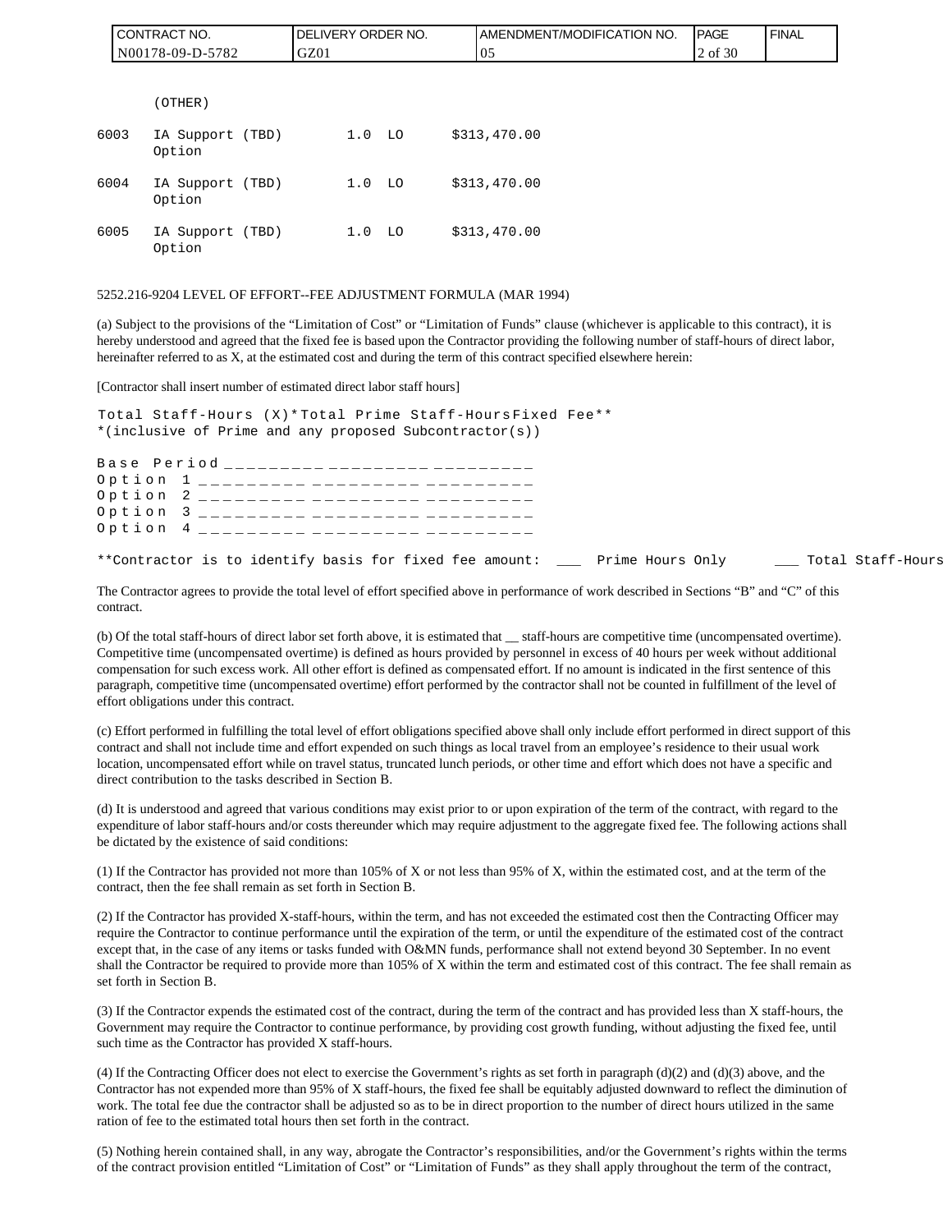|      | CONTRACT NO.               | DELIVERY ORDER NO. | AMENDMENT/MODIFICATION NO. | PAGE    | <b>FINAL</b> |
|------|----------------------------|--------------------|----------------------------|---------|--------------|
|      | N00178-09-D-5782           | GZ01               | 05                         | 2 of 30 |              |
|      |                            |                    |                            |         |              |
|      | (OTHER)                    |                    |                            |         |              |
| 6003 | IA Support (TBD)<br>Option | 1.0 <sub>LO</sub>  | \$313,470.00               |         |              |
| 6004 | IA Support (TBD)<br>Option | $1.0$ LO           | \$313,470.00               |         |              |
| 6005 | IA Support (TBD)<br>Option | $1.0$ LO           | \$313,470.00               |         |              |

#### 5252.216-9204 LEVEL OF EFFORT--FEE ADJUSTMENT FORMULA (MAR 1994)

(a) Subject to the provisions of the "Limitation of Cost" or "Limitation of Funds" clause (whichever is applicable to this contract), it is hereby understood and agreed that the fixed fee is based upon the Contractor providing the following number of staff-hours of direct labor, hereinafter referred to as X, at the estimated cost and during the term of this contract specified elsewhere herein:

[Contractor shall insert number of estimated direct labor staff hours]

Total Staff-Hours (X)\* Total Prime Staff-Hours Fixed Fee\*\* \*(inclusive of Prime and any proposed Subcontractor(s))

Base Period \_\_\_\_\_\_\_\_\_\_ \_\_\_\_\_\_\_\_\_ \_\_\_\_\_\_\_\_ Option 1 \_\_\_\_\_\_\_\_\_ \_\_\_\_\_\_\_\_\_ \_\_\_\_\_\_\_\_ Option 2 \_\_\_\_\_\_\_\_\_ \_\_\_\_\_\_\_\_\_ \_\_\_\_\_\_ Option 3 \_\_\_\_\_\_\_\_\_ \_\_\_\_\_\_\_\_\_ \_\_\_\_\_\_\_ Option 4 \_\_\_\_\_\_\_\_\_ \_\_\_\_\_\_\_\_\_ \_\_\_\_\_\_\_

\*\*Contractor is to identify basis for fixed fee amount: \_\_\_ Prime Hours Only \_\_\_ Total Staff-Hours

The Contractor agrees to provide the total level of effort specified above in performance of work described in Sections "B" and "C" of this contract.

(b) Of the total staff-hours of direct labor set forth above, it is estimated that \_\_ staff-hours are competitive time (uncompensated overtime). Competitive time (uncompensated overtime) is defined as hours provided by personnel in excess of 40 hours per week without additional compensation for such excess work. All other effort is defined as compensated effort. If no amount is indicated in the first sentence of this paragraph, competitive time (uncompensated overtime) effort performed by the contractor shall not be counted in fulfillment of the level of effort obligations under this contract.

(c) Effort performed in fulfilling the total level of effort obligations specified above shall only include effort performed in direct support of this contract and shall not include time and effort expended on such things as local travel from an employee's residence to their usual work location, uncompensated effort while on travel status, truncated lunch periods, or other time and effort which does not have a specific and direct contribution to the tasks described in Section B.

(d) It is understood and agreed that various conditions may exist prior to or upon expiration of the term of the contract, with regard to the expenditure of labor staff-hours and/or costs thereunder which may require adjustment to the aggregate fixed fee. The following actions shall be dictated by the existence of said conditions:

(1) If the Contractor has provided not more than 105% of X or not less than 95% of X, within the estimated cost, and at the term of the contract, then the fee shall remain as set forth in Section B.

(2) If the Contractor has provided X-staff-hours, within the term, and has not exceeded the estimated cost then the Contracting Officer may require the Contractor to continue performance until the expiration of the term, or until the expenditure of the estimated cost of the contract except that, in the case of any items or tasks funded with O&MN funds, performance shall not extend beyond 30 September. In no event shall the Contractor be required to provide more than 105% of X within the term and estimated cost of this contract. The fee shall remain as set forth in Section B.

(3) If the Contractor expends the estimated cost of the contract, during the term of the contract and has provided less than X staff-hours, the Government may require the Contractor to continue performance, by providing cost growth funding, without adjusting the fixed fee, until such time as the Contractor has provided X staff-hours.

(4) If the Contracting Officer does not elect to exercise the Government's rights as set forth in paragraph (d)(2) and (d)(3) above, and the Contractor has not expended more than 95% of X staff-hours, the fixed fee shall be equitably adjusted downward to reflect the diminution of work. The total fee due the contractor shall be adjusted so as to be in direct proportion to the number of direct hours utilized in the same ration of fee to the estimated total hours then set forth in the contract.

(5) Nothing herein contained shall, in any way, abrogate the Contractor's responsibilities, and/or the Government's rights within the terms of the contract provision entitled "Limitation of Cost" or "Limitation of Funds" as they shall apply throughout the term of the contract,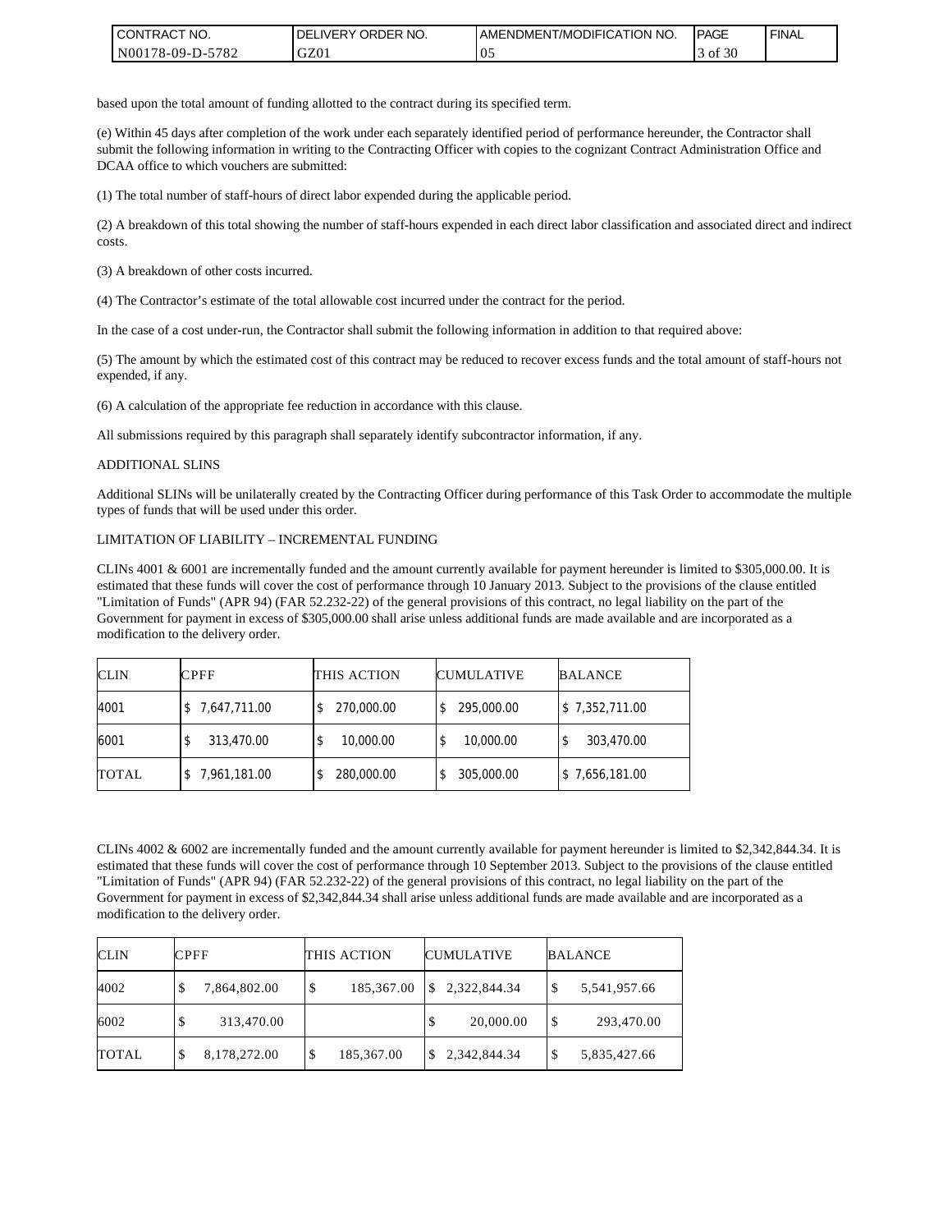| I CONTRACT NO.        | NO.<br>' ORDER<br><b>DELIVERY</b> | I AMENDMENT/MODIFICATION NO. | <b>PAGE</b>             | <b>FINAL</b> |
|-----------------------|-----------------------------------|------------------------------|-------------------------|--------------|
| N001<br>178-09-D-5782 | GZ01                              | v.                           | $c \cap c$<br>ΟĪ<br>-3U |              |

based upon the total amount of funding allotted to the contract during its specified term.

(e) Within 45 days after completion of the work under each separately identified period of performance hereunder, the Contractor shall submit the following information in writing to the Contracting Officer with copies to the cognizant Contract Administration Office and DCAA office to which vouchers are submitted:

(1) The total number of staff-hours of direct labor expended during the applicable period.

(2) A breakdown of this total showing the number of staff-hours expended in each direct labor classification and associated direct and indirect costs.

(3) A breakdown of other costs incurred.

(4) The Contractor's estimate of the total allowable cost incurred under the contract for the period.

In the case of a cost under-run, the Contractor shall submit the following information in addition to that required above:

(5) The amount by which the estimated cost of this contract may be reduced to recover excess funds and the total amount of staff-hours not expended, if any.

(6) A calculation of the appropriate fee reduction in accordance with this clause.

All submissions required by this paragraph shall separately identify subcontractor information, if any.

#### ADDITIONAL SLINS

Additional SLINs will be unilaterally created by the Contracting Officer during performance of this Task Order to accommodate the multiple types of funds that will be used under this order.

#### LIMITATION OF LIABILITY – INCREMENTAL FUNDING

CLINs 4001 & 6001 are incrementally funded and the amount currently available for payment hereunder is limited to \$305,000.00. It is estimated that these funds will cover the cost of performance through 10 January 2013. Subject to the provisions of the clause entitled "Limitation of Funds" (APR 94) (FAR 52.232-22) of the general provisions of this contract, no legal liability on the part of the Government for payment in excess of \$305,000.00 shall arise unless additional funds are made available and are incorporated as a modification to the delivery order.

| <b>CLIN</b>  | <b>CPFF</b>  | THIS ACTION | <b>CUMULATIVE</b> | <b>BALANCE</b> |
|--------------|--------------|-------------|-------------------|----------------|
| 4001         | 7,647,711.00 | 270,000.00  | 295,000.00        | \$7,352,711.00 |
| 6001         | 313,470.00   | 10,000.00   | 10,000.00         | 303,470.00     |
| <b>TOTAL</b> | 7,961,181.00 | 280,000.00  | 305,000.00        | \$7,656,181.00 |

CLINs 4002 & 6002 are incrementally funded and the amount currently available for payment hereunder is limited to \$2,342,844.34. It is estimated that these funds will cover the cost of performance through 10 September 2013. Subject to the provisions of the clause entitled "Limitation of Funds" (APR 94) (FAR 52.232-22) of the general provisions of this contract, no legal liability on the part of the Government for payment in excess of \$2,342,844.34 shall arise unless additional funds are made available and are incorporated as a modification to the delivery order.

| <b>CLIN</b>  | <b>CPFF</b>       | THIS ACTION     | <b>CUMULATIVE</b> | <b>BALANCE</b>     |  |
|--------------|-------------------|-----------------|-------------------|--------------------|--|
| 4002         | 7,864,802.00<br>D | 185,367.00<br>S | 2,322,844.34      | \$<br>5,541,957.66 |  |
| 6002         | 313,470.00        |                 | 20,000.00<br>D    | \$<br>293,470.00   |  |
| <b>TOTAL</b> | 8,178,272.00<br>Φ | 185,367.00<br>Φ | 2,342,844.34      | \$<br>5,835,427.66 |  |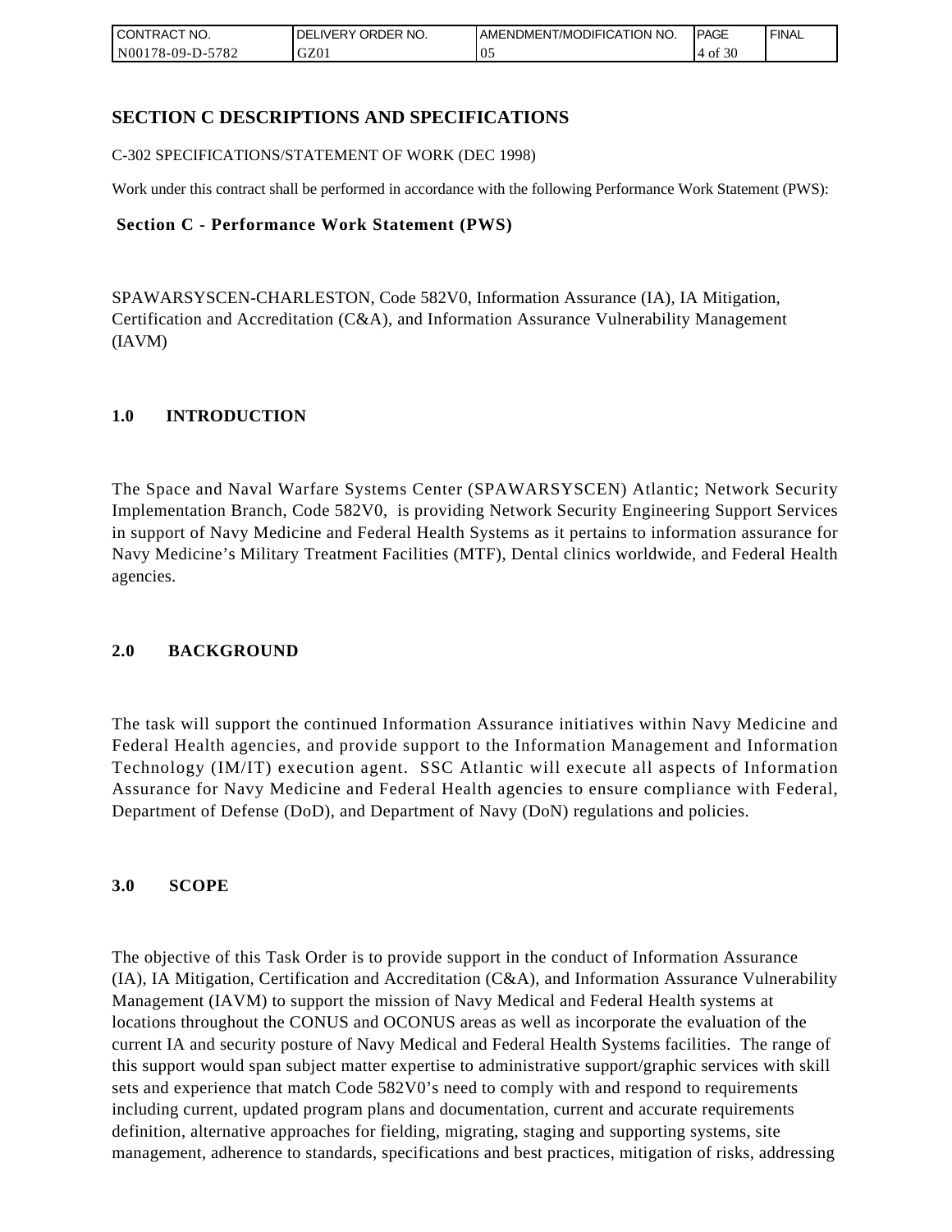| <b>CONTRACT NO.</b> | ' ORDER NO.<br><b>DELIVERY</b> | <b>JAMENDMENT/MODIFICATION NO.</b> | <b>PAGE</b>  | <b>FINAL</b> |
|---------------------|--------------------------------|------------------------------------|--------------|--------------|
| N00178-09-D-5782    | GZ01                           | $\upsilon$ .                       | f $30$<br>ΟĪ |              |

### **SECTION C DESCRIPTIONS AND SPECIFICATIONS**

C-302 SPECIFICATIONS/STATEMENT OF WORK (DEC 1998)

Work under this contract shall be performed in accordance with the following Performance Work Statement (PWS):

### **Section C - Performance Work Statement (PWS)**

SPAWARSYSCEN-CHARLESTON, Code 582V0, Information Assurance (IA), IA Mitigation, Certification and Accreditation (C&A), and Information Assurance Vulnerability Management (IAVM)

### **1.0 INTRODUCTION**

The Space and Naval Warfare Systems Center (SPAWARSYSCEN) Atlantic; Network Security Implementation Branch, Code 582V0, is providing Network Security Engineering Support Services in support of Navy Medicine and Federal Health Systems as it pertains to information assurance for Navy Medicine's Military Treatment Facilities (MTF), Dental clinics worldwide, and Federal Health agencies.

### **2.0 BACKGROUND**

The task will support the continued Information Assurance initiatives within Navy Medicine and Federal Health agencies, and provide support to the Information Management and Information Technology (IM/IT) execution agent. SSC Atlantic will execute all aspects of Information Assurance for Navy Medicine and Federal Health agencies to ensure compliance with Federal, Department of Defense (DoD), and Department of Navy (DoN) regulations and policies.

### **3.0 SCOPE**

The objective of this Task Order is to provide support in the conduct of Information Assurance (IA), IA Mitigation, Certification and Accreditation (C&A), and Information Assurance Vulnerability Management (IAVM) to support the mission of Navy Medical and Federal Health systems at locations throughout the CONUS and OCONUS areas as well as incorporate the evaluation of the current IA and security posture of Navy Medical and Federal Health Systems facilities. The range of this support would span subject matter expertise to administrative support/graphic services with skill sets and experience that match Code 582V0's need to comply with and respond to requirements including current, updated program plans and documentation, current and accurate requirements definition, alternative approaches for fielding, migrating, staging and supporting systems, site management, adherence to standards, specifications and best practices, mitigation of risks, addressing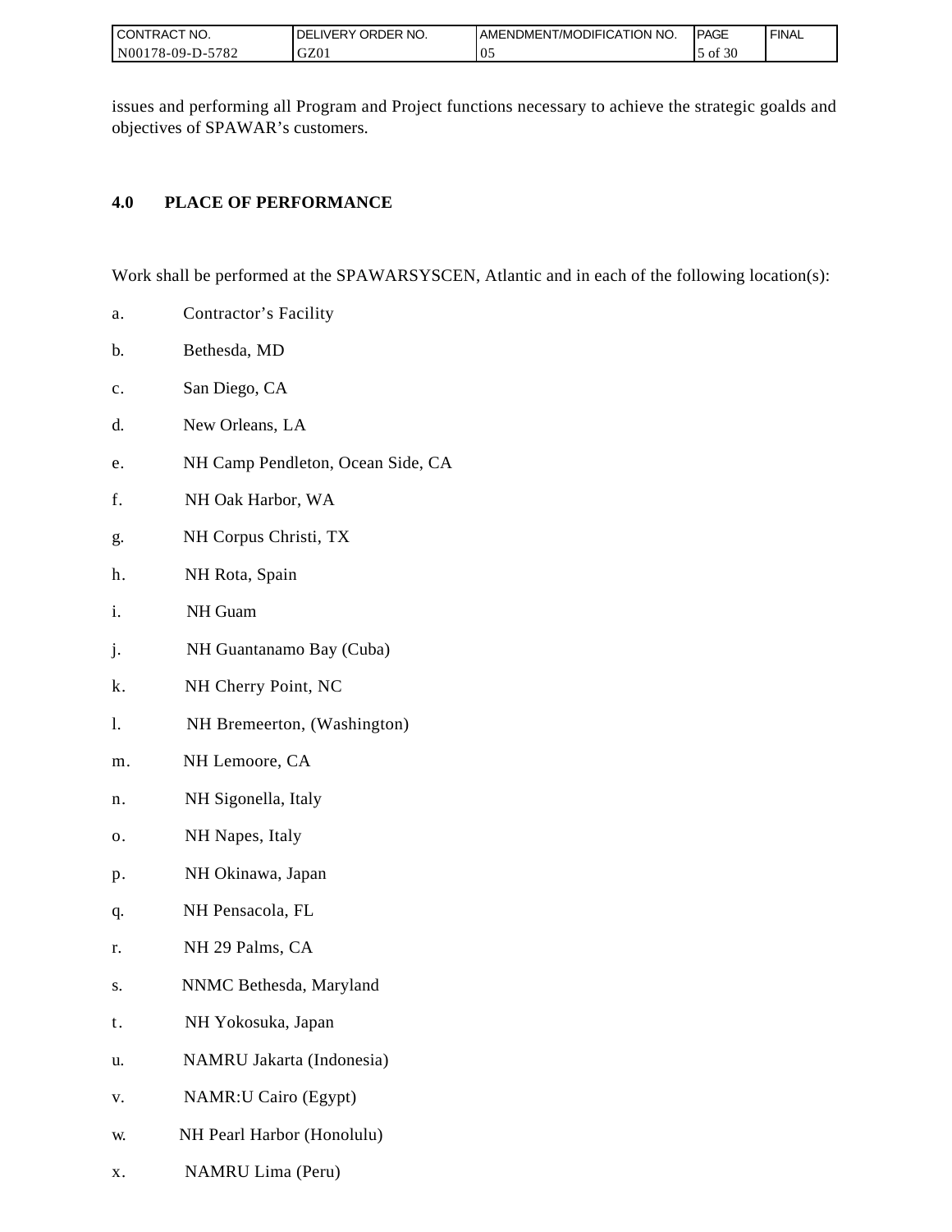| I CONTRACT NO.   | ORDER NO.<br><b>DELIVERY</b> | <b>IAMENDMENT/MODIFICATION NO.</b> | <b>IPAGE</b> | <b>FINAL</b> |
|------------------|------------------------------|------------------------------------|--------------|--------------|
| N00178-09-D-5782 | GZ01                         | $\Omega$<br>ν.                     | of 30        |              |

issues and performing all Program and Project functions necessary to achieve the strategic goalds and objectives of SPAWAR's customers.

### **4.0 PLACE OF PERFORMANCE**

Work shall be performed at the SPAWARSYSCEN, Atlantic and in each of the following location(s):

- a. Contractor's Facility
- b. Bethesda, MD
- c. San Diego, CA
- d. New Orleans, LA
- e. NH Camp Pendleton, Ocean Side, CA
- f. NH Oak Harbor, WA
- g. NH Corpus Christi, TX
- h. NH Rota, Spain
- i. NH Guam
- j. NH Guantanamo Bay (Cuba)
- k. NH Cherry Point, NC
- l. NH Bremeerton, (Washington)
- m. NH Lemoore, CA
- n. NH Sigonella, Italy
- o. NH Napes, Italy
- p. NH Okinawa, Japan
- q. NH Pensacola, FL
- r. NH 29 Palms, CA
- s. NNMC Bethesda, Maryland
- t. NH Yokosuka, Japan
- u. NAMRU Jakarta (Indonesia)
- v. NAMR:U Cairo (Egypt)
- w. NH Pearl Harbor (Honolulu)
- x. NAMRU Lima (Peru)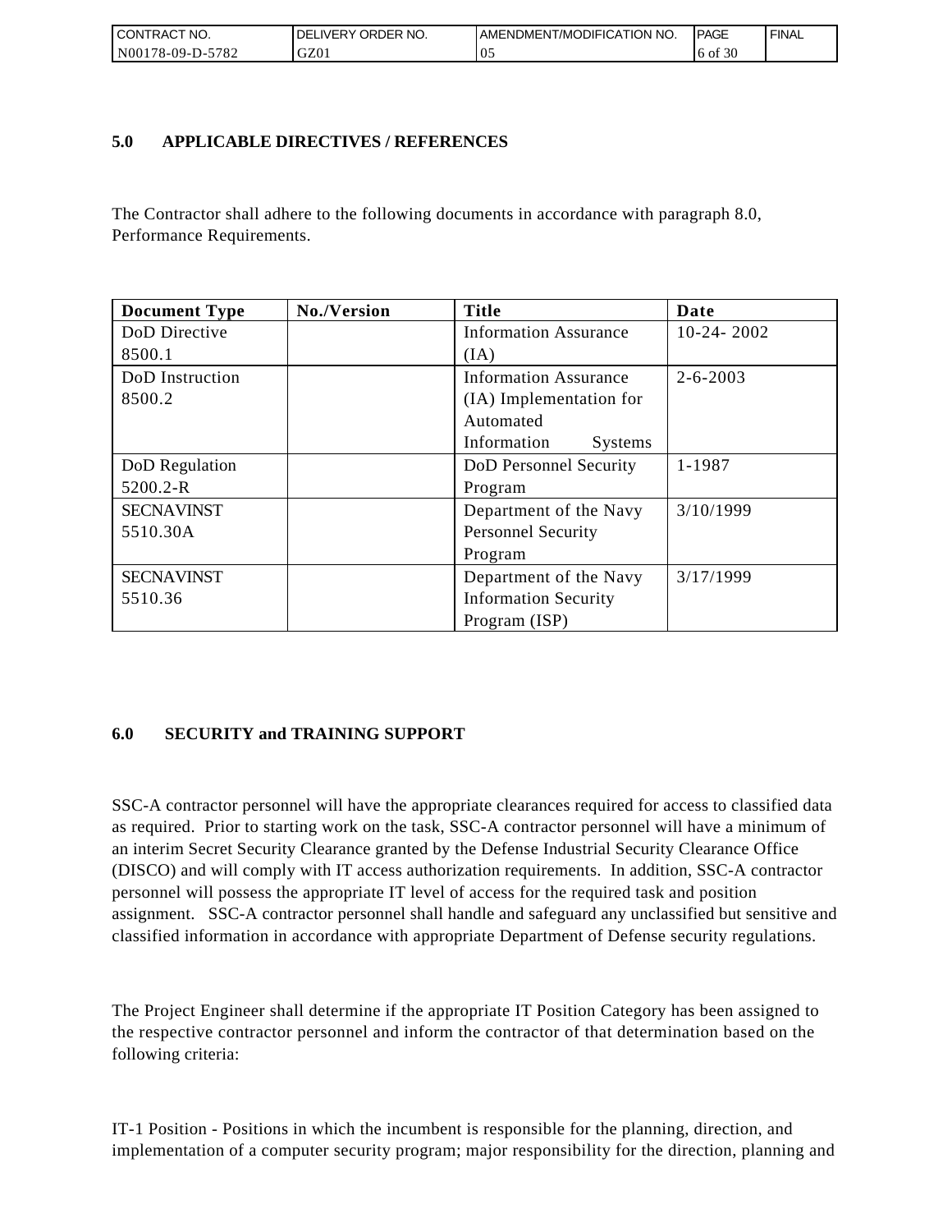| I CONTRACT NO.        | ORDER<br>NO.<br>DELI<br>.IVERY | AMENDMENT/MODIFICATION NO. | <b>IPAGE</b> | <b>FINAL</b> |
|-----------------------|--------------------------------|----------------------------|--------------|--------------|
| N00178-09-D-5<br>5782 | GZ01                           | $\mathbf{v}$ .             | 6 of 30      |              |

### **5.0 APPLICABLE DIRECTIVES / REFERENCES**

| CONTRACT NO.<br>N00178-09-D-5782 | DELIVERY ORDER NO.<br>GZ01                | AMENDMENT/MODIFICATION NO.<br>05                                                                                                                                                                                                                                                                                                                                                                                                                                                                                                                                                                                                                                                                                                  | PAGE<br>6 of 30 | <b>FINAL</b> |
|----------------------------------|-------------------------------------------|-----------------------------------------------------------------------------------------------------------------------------------------------------------------------------------------------------------------------------------------------------------------------------------------------------------------------------------------------------------------------------------------------------------------------------------------------------------------------------------------------------------------------------------------------------------------------------------------------------------------------------------------------------------------------------------------------------------------------------------|-----------------|--------------|
|                                  |                                           |                                                                                                                                                                                                                                                                                                                                                                                                                                                                                                                                                                                                                                                                                                                                   |                 |              |
| 5.0                              | <b>APPLICABLE DIRECTIVES / REFERENCES</b> |                                                                                                                                                                                                                                                                                                                                                                                                                                                                                                                                                                                                                                                                                                                                   |                 |              |
|                                  |                                           |                                                                                                                                                                                                                                                                                                                                                                                                                                                                                                                                                                                                                                                                                                                                   |                 |              |
|                                  |                                           |                                                                                                                                                                                                                                                                                                                                                                                                                                                                                                                                                                                                                                                                                                                                   |                 |              |
| Performance Requirements.        |                                           | The Contractor shall adhere to the following documents in accordance with paragraph 8.0,                                                                                                                                                                                                                                                                                                                                                                                                                                                                                                                                                                                                                                          |                 |              |
|                                  |                                           |                                                                                                                                                                                                                                                                                                                                                                                                                                                                                                                                                                                                                                                                                                                                   |                 |              |
| <b>Document Type</b>             | No./Version                               | <b>Title</b>                                                                                                                                                                                                                                                                                                                                                                                                                                                                                                                                                                                                                                                                                                                      | Date            |              |
| DoD Directive                    |                                           | <b>Information Assurance</b>                                                                                                                                                                                                                                                                                                                                                                                                                                                                                                                                                                                                                                                                                                      | $10-24-2002$    |              |
| 8500.1                           |                                           | (IA)                                                                                                                                                                                                                                                                                                                                                                                                                                                                                                                                                                                                                                                                                                                              |                 |              |
| DoD Instruction                  |                                           | <b>Information Assurance</b>                                                                                                                                                                                                                                                                                                                                                                                                                                                                                                                                                                                                                                                                                                      | $2 - 6 - 2003$  |              |
| 8500.2                           |                                           | (IA) Implementation for                                                                                                                                                                                                                                                                                                                                                                                                                                                                                                                                                                                                                                                                                                           |                 |              |
|                                  |                                           | Automated                                                                                                                                                                                                                                                                                                                                                                                                                                                                                                                                                                                                                                                                                                                         |                 |              |
|                                  |                                           | Information<br>Systems                                                                                                                                                                                                                                                                                                                                                                                                                                                                                                                                                                                                                                                                                                            |                 |              |
| DoD Regulation                   |                                           | DoD Personnel Security                                                                                                                                                                                                                                                                                                                                                                                                                                                                                                                                                                                                                                                                                                            | 1-1987          |              |
| 5200.2-R                         |                                           | Program                                                                                                                                                                                                                                                                                                                                                                                                                                                                                                                                                                                                                                                                                                                           |                 |              |
| <b>SECNAVINST</b>                |                                           | Department of the Navy                                                                                                                                                                                                                                                                                                                                                                                                                                                                                                                                                                                                                                                                                                            | 3/10/1999       |              |
| 5510.30A                         |                                           | <b>Personnel Security</b>                                                                                                                                                                                                                                                                                                                                                                                                                                                                                                                                                                                                                                                                                                         |                 |              |
|                                  |                                           | Program                                                                                                                                                                                                                                                                                                                                                                                                                                                                                                                                                                                                                                                                                                                           |                 |              |
| <b>SECNAVINST</b>                |                                           | Department of the Navy                                                                                                                                                                                                                                                                                                                                                                                                                                                                                                                                                                                                                                                                                                            | 3/17/1999       |              |
| 5510.36                          |                                           | <b>Information Security</b>                                                                                                                                                                                                                                                                                                                                                                                                                                                                                                                                                                                                                                                                                                       |                 |              |
|                                  |                                           | Program (ISP)                                                                                                                                                                                                                                                                                                                                                                                                                                                                                                                                                                                                                                                                                                                     |                 |              |
| 6.0                              | <b>SECURITY and TRAINING SUPPORT</b>      |                                                                                                                                                                                                                                                                                                                                                                                                                                                                                                                                                                                                                                                                                                                                   |                 |              |
|                                  |                                           | SSC-A contractor personnel will have the appropriate clearances required for access to classified data<br>as required. Prior to starting work on the task, SSC-A contractor personnel will have a minimum of<br>an interim Secret Security Clearance granted by the Defense Industrial Security Clearance Office<br>(DISCO) and will comply with IT access authorization requirements. In addition, SSC-A contractor<br>personnel will possess the appropriate IT level of access for the required task and position<br>assignment. SSC-A contractor personnel shall handle and safeguard any unclassified but sensitive and<br>classified information in accordance with appropriate Department of Defense security regulations. |                 |              |
| following criteria:              |                                           | The Project Engineer shall determine if the appropriate IT Position Category has been assigned to<br>the respective contractor personnel and inform the contractor of that determination based on the                                                                                                                                                                                                                                                                                                                                                                                                                                                                                                                             |                 |              |
|                                  |                                           | IT-1 Position - Positions in which the incumbent is responsible for the planning, direction, and<br>implementation of a computer security program; major responsibility for the direction, planning and                                                                                                                                                                                                                                                                                                                                                                                                                                                                                                                           |                 |              |

## **6.0 SECURITY and TRAINING SUPPORT**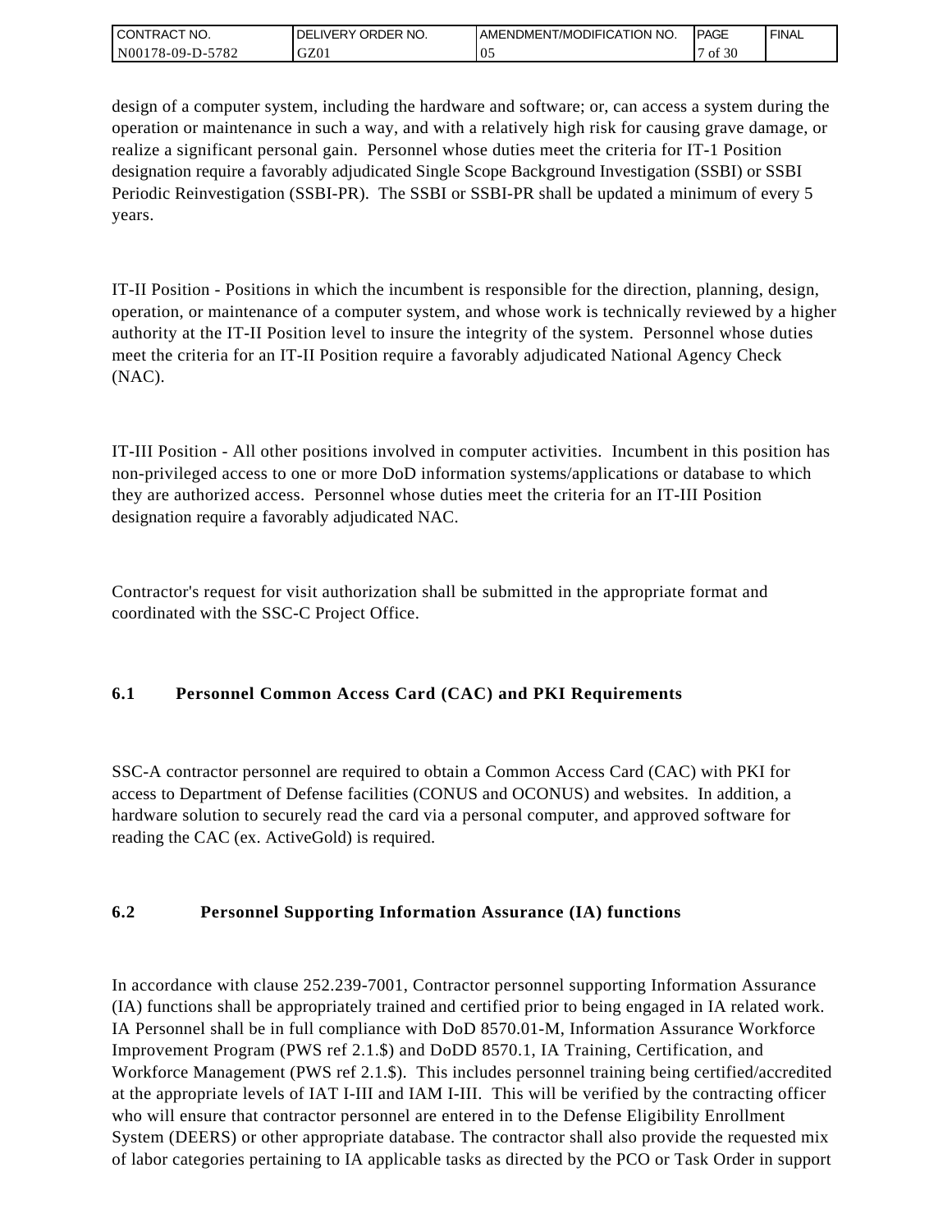| <b>CONTRACT NO.</b> | ORDER NO.<br><b>DELIVERY</b> | <b>IAMENDMENT/MODIFICATION NO.</b> | <b>PAGE</b> | <b>FINAL</b> |
|---------------------|------------------------------|------------------------------------|-------------|--------------|
| N00178-09-D-5782    | GZ01                         | v.                                 | f 30ء<br>ΟĪ |              |

design of a computer system, including the hardware and software; or, can access a system during the operation or maintenance in such a way, and with a relatively high risk for causing grave damage, or realize a significant personal gain. Personnel whose duties meet the criteria for IT-1 Position designation require a favorably adjudicated Single Scope Background Investigation (SSBI) or SSBI Periodic Reinvestigation (SSBI-PR). The SSBI or SSBI-PR shall be updated a minimum of every 5 years.

IT-II Position - Positions in which the incumbent is responsible for the direction, planning, design, operation, or maintenance of a computer system, and whose work is technically reviewed by a higher authority at the IT-II Position level to insure the integrity of the system. Personnel whose duties meet the criteria for an IT-II Position require a favorably adjudicated National Agency Check (NAC).

IT-III Position - All other positions involved in computer activities. Incumbent in this position has non-privileged access to one or more DoD information systems/applications or database to which they are authorized access. Personnel whose duties meet the criteria for an IT-III Position designation require a favorably adjudicated NAC.

Contractor's request for visit authorization shall be submitted in the appropriate format and coordinated with the SSC-C Project Office.

# **6.1 Personnel Common Access Card (CAC) and PKI Requirements**

SSC-A contractor personnel are required to obtain a Common Access Card (CAC) with PKI for access to Department of Defense facilities (CONUS and OCONUS) and websites. In addition, a hardware solution to securely read the card via a personal computer, and approved software for reading the CAC (ex. ActiveGold) is required.

## **6.2 Personnel Supporting Information Assurance (IA) functions**

In accordance with clause 252.239-7001, Contractor personnel supporting Information Assurance (IA) functions shall be appropriately trained and certified prior to being engaged in IA related work. IA Personnel shall be in full compliance with DoD 8570.01-M, Information Assurance Workforce Improvement Program (PWS ref 2.1.\$) and DoDD 8570.1, IA Training, Certification, and Workforce Management (PWS ref 2.1.\$). This includes personnel training being certified/accredited at the appropriate levels of IAT I-III and IAM I-III. This will be verified by the contracting officer who will ensure that contractor personnel are entered in to the Defense Eligibility Enrollment System (DEERS) or other appropriate database. The contractor shall also provide the requested mix of labor categories pertaining to IA applicable tasks as directed by the PCO or Task Order in support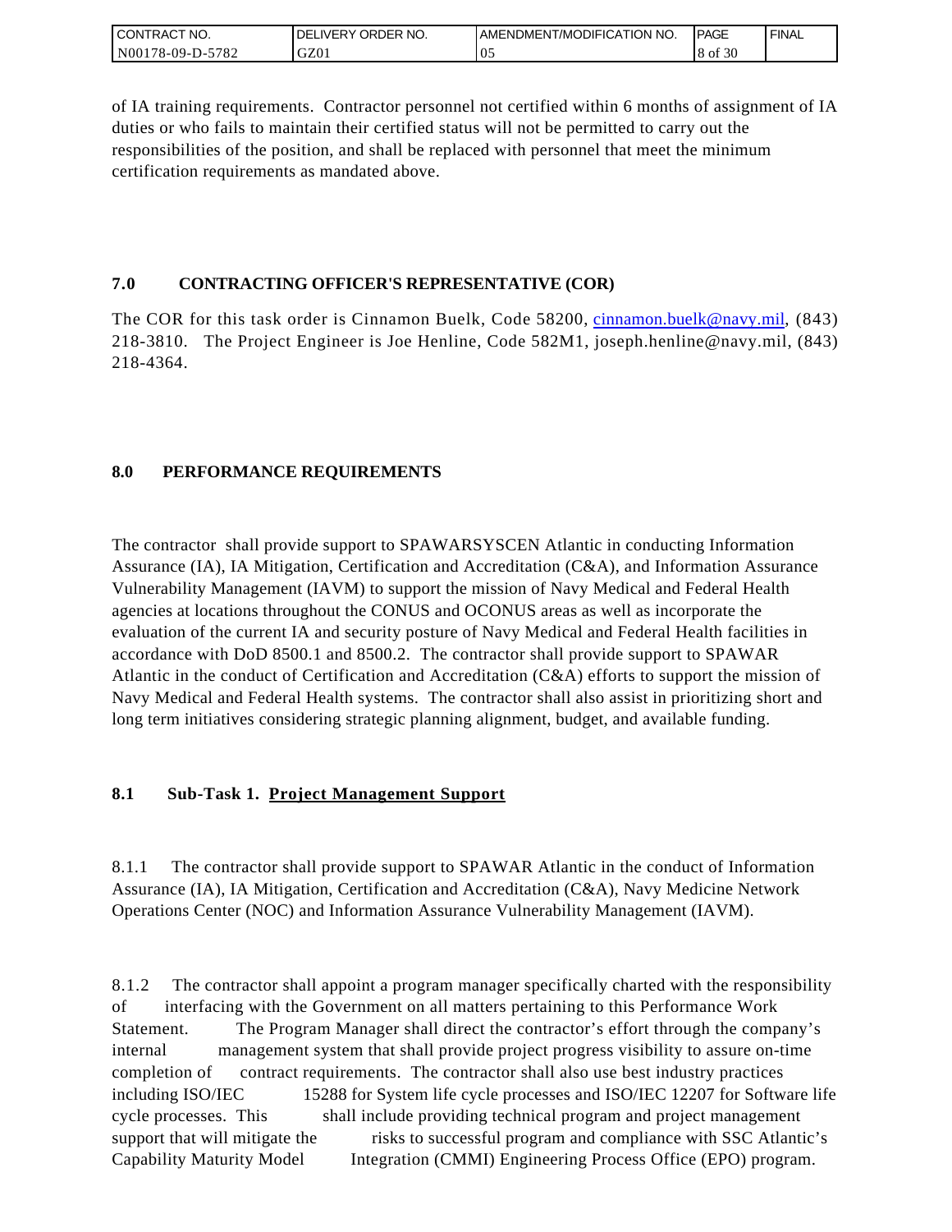| I CONTRACT NO.   | ORDER NO.<br><b>DELIVERY</b> | I AMENDMENT/MODIFICATION NO. | <b>IPAGE</b> | <b>FINAL</b> |
|------------------|------------------------------|------------------------------|--------------|--------------|
| N00178-09-D-5782 | GZ01                         | $\sim$<br>U.                 | 8 of 30      |              |

of IA training requirements. Contractor personnel not certified within 6 months of assignment of IA duties or who fails to maintain their certified status will not be permitted to carry out the responsibilities of the position, and shall be replaced with personnel that meet the minimum certification requirements as mandated above.

### **7.0 CONTRACTING OFFICER'S REPRESENTATIVE (COR)**

The COR for this task order is Cinnamon Buelk, Code 58200, [cinnamon.buelk@navy.mil,](mailto:cinnamon.buelk@navy.mil) (843) 218-3810. The Project Engineer is Joe Henline, Code 582M1, joseph.henline@navy.mil, (843) 218-4364.

## **8.0 PERFORMANCE REQUIREMENTS**

The contractor shall provide support to SPAWARSYSCEN Atlantic in conducting Information Assurance (IA), IA Mitigation, Certification and Accreditation (C&A), and Information Assurance Vulnerability Management (IAVM) to support the mission of Navy Medical and Federal Health agencies at locations throughout the CONUS and OCONUS areas as well as incorporate the evaluation of the current IA and security posture of Navy Medical and Federal Health facilities in accordance with DoD 8500.1 and 8500.2. The contractor shall provide support to SPAWAR Atlantic in the conduct of Certification and Accreditation (C&A) efforts to support the mission of Navy Medical and Federal Health systems. The contractor shall also assist in prioritizing short and long term initiatives considering strategic planning alignment, budget, and available funding.

## **8.1 Sub-Task 1. Project Management Support**

8.1.1 The contractor shall provide support to SPAWAR Atlantic in the conduct of Information Assurance (IA), IA Mitigation, Certification and Accreditation (C&A), Navy Medicine Network Operations Center (NOC) and Information Assurance Vulnerability Management (IAVM).

8.1.2 The contractor shall appoint a program manager specifically charted with the responsibility of interfacing with the Government on all matters pertaining to this Performance Work Statement. The Program Manager shall direct the contractor's effort through the company's internal management system that shall provide project progress visibility to assure on-time completion of contract requirements. The contractor shall also use best industry practices including ISO/IEC 15288 for System life cycle processes and ISO/IEC 12207 for Software life cycle processes. This shall include providing technical program and project management support that will mitigate the risks to successful program and compliance with SSC Atlantic's Capability Maturity Model Integration (CMMI) Engineering Process Office (EPO) program.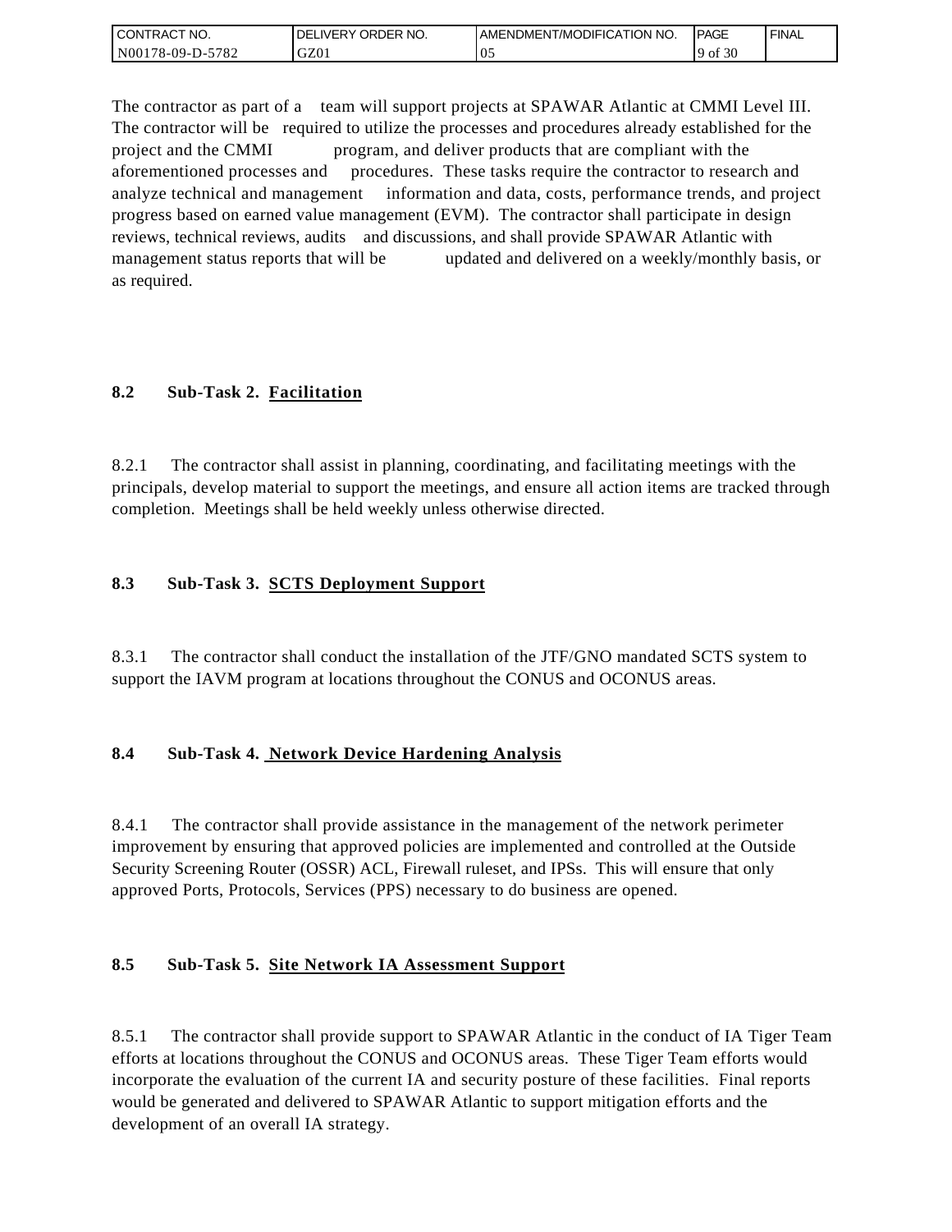| I CONTRACT NO.   | ' ORDER NO.<br><b>DELIVERY</b> | <b>JAMENDMENT/MODIFICATION NO.</b> | <b>IPAGE</b>   | <b>FINAL</b> |
|------------------|--------------------------------|------------------------------------|----------------|--------------|
| N00178-09-D-5782 | GZ01                           | $\upsilon$ .                       | f $30$<br>' of |              |

The contractor as part of a team will support projects at SPAWAR Atlantic at CMMI Level III. The contractor will be required to utilize the processes and procedures already established for the project and the CMMI program, and deliver products that are compliant with the aforementioned processes and procedures. These tasks require the contractor to research and analyze technical and management information and data, costs, performance trends, and project progress based on earned value management (EVM). The contractor shall participate in design reviews, technical reviews, audits and discussions, and shall provide SPAWAR Atlantic with management status reports that will be updated and delivered on a weekly/monthly basis, or as required.

## **8.2 Sub-Task 2. Facilitation**

8.2.1 The contractor shall assist in planning, coordinating, and facilitating meetings with the principals, develop material to support the meetings, and ensure all action items are tracked through completion. Meetings shall be held weekly unless otherwise directed.

### **8.3 Sub-Task 3. SCTS Deployment Support**

8.3.1 The contractor shall conduct the installation of the JTF/GNO mandated SCTS system to support the IAVM program at locations throughout the CONUS and OCONUS areas.

## **8.4 Sub-Task 4. Network Device Hardening Analysis**

8.4.1 The contractor shall provide assistance in the management of the network perimeter improvement by ensuring that approved policies are implemented and controlled at the Outside Security Screening Router (OSSR) ACL, Firewall ruleset, and IPSs. This will ensure that only approved Ports, Protocols, Services (PPS) necessary to do business are opened.

## **8.5 Sub-Task 5. Site Network IA Assessment Support**

8.5.1 The contractor shall provide support to SPAWAR Atlantic in the conduct of IA Tiger Team efforts at locations throughout the CONUS and OCONUS areas. These Tiger Team efforts would incorporate the evaluation of the current IA and security posture of these facilities. Final reports would be generated and delivered to SPAWAR Atlantic to support mitigation efforts and the development of an overall IA strategy.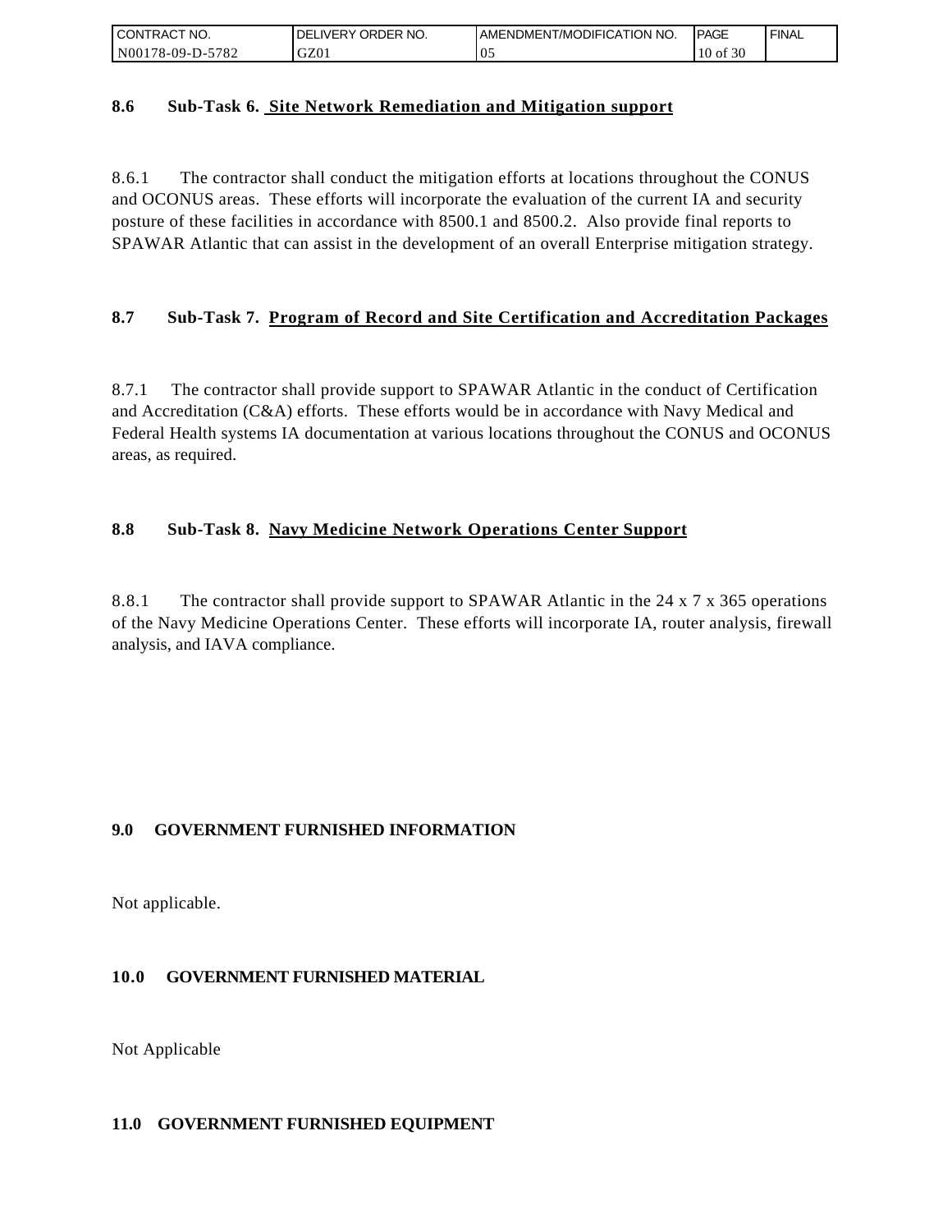| I CONTRACT NO.   | NO.<br>DELIVERY ORDER | I AMENDMENT/MODIFICATION NO. | <b>PAGE</b>     | <b>FINAL</b> |
|------------------|-----------------------|------------------------------|-----------------|--------------|
| N00178-09-D-5782 | GZ01                  | v.                           | f 30<br>$10$ of |              |

### **8.6 Sub-Task 6. Site Network Remediation and Mitigation support**

8.6.1 The contractor shall conduct the mitigation efforts at locations throughout the CONUS and OCONUS areas. These efforts will incorporate the evaluation of the current IA and security posture of these facilities in accordance with 8500.1 and 8500.2. Also provide final reports to SPAWAR Atlantic that can assist in the development of an overall Enterprise mitigation strategy.

## **8.7 Sub-Task 7. Program of Record and Site Certification and Accreditation Packages**

8.7.1 The contractor shall provide support to SPAWAR Atlantic in the conduct of Certification and Accreditation (C&A) efforts. These efforts would be in accordance with Navy Medical and Federal Health systems IA documentation at various locations throughout the CONUS and OCONUS areas, as required.

## **8.8 Sub-Task 8. Navy Medicine Network Operations Center Support**

8.8.1 The contractor shall provide support to SPAWAR Atlantic in the 24 x 7 x 365 operations of the Navy Medicine Operations Center. These efforts will incorporate IA, router analysis, firewall analysis, and IAVA compliance.

## **9.0 GOVERNMENT FURNISHED INFORMATION**

Not applicable.

### **10.0 GOVERNMENT FURNISHED MATERIAL**

Not Applicable

#### **11.0 GOVERNMENT FURNISHED EQUIPMENT**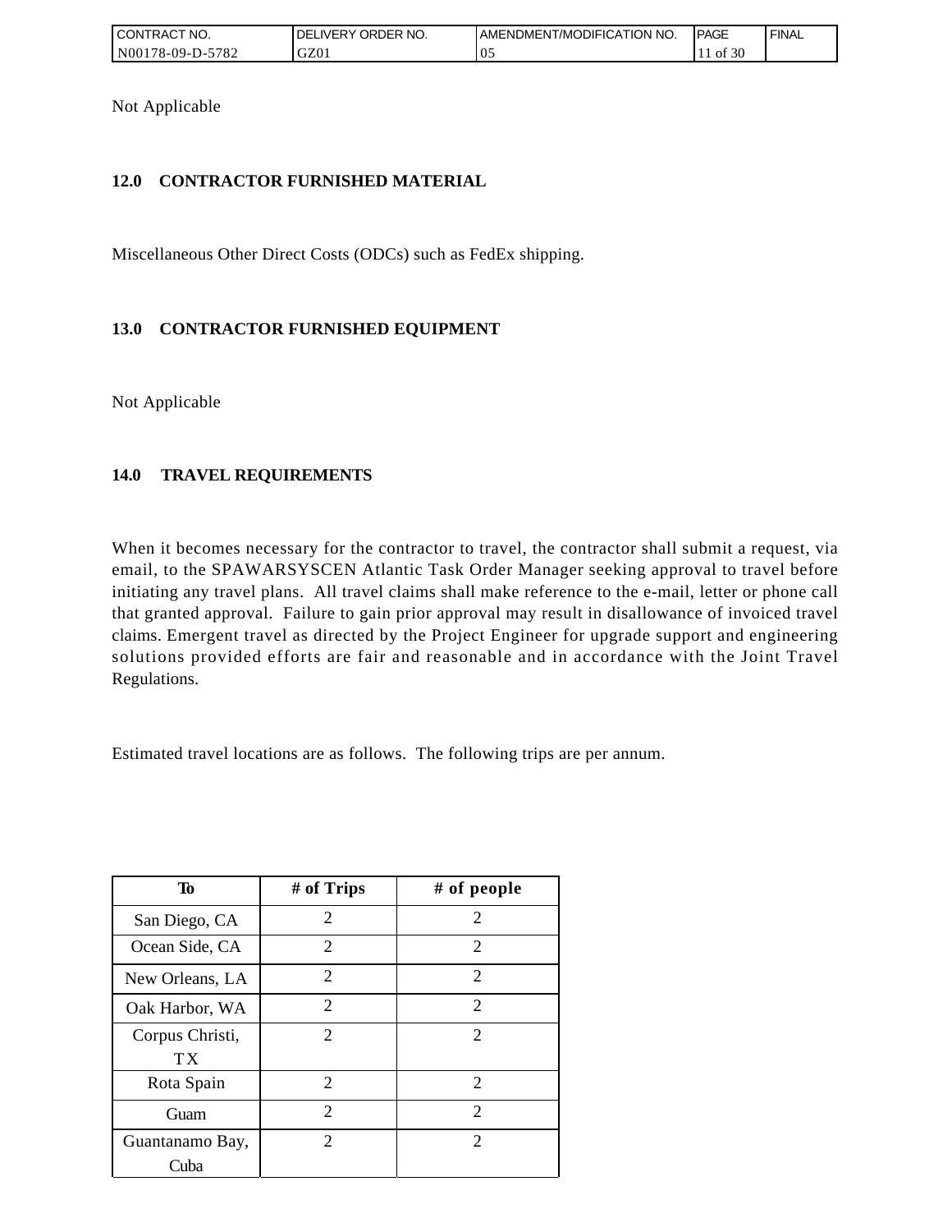| I CONTRACT NO.   | <b>IDELIVERY ORDER NO.</b> | I AMENDMENT/MODIFICATION NO. | <b>PAGE</b> | ' FINAL |
|------------------|----------------------------|------------------------------|-------------|---------|
| N00178-09-D-5782 | GZ01                       | 05                           | of 30       |         |

Not Applicable

### **12.0 CONTRACTOR FURNISHED MATERIAL**

Miscellaneous Other Direct Costs (ODCs) such as FedEx shipping.

## **13.0 CONTRACTOR FURNISHED EQUIPMENT**

Not Applicable

## **14.0 TRAVEL REQUIREMENTS**

When it becomes necessary for the contractor to travel, the contractor shall submit a request, via email, to the SPAWARSYSCEN Atlantic Task Order Manager seeking approval to travel before initiating any travel plans. All travel claims shall make reference to the e-mail, letter or phone call that granted approval. Failure to gain prior approval may result in disallowance of invoiced travel claims. Emergent travel as directed by the Project Engineer for upgrade support and engineering solutions provided efforts are fair and reasonable and in accordance with the Joint Travel Regulations.

Estimated travel locations are as follows. The following trips are per annum.

| To              | # of Trips                  | # of people                 |
|-----------------|-----------------------------|-----------------------------|
| San Diego, CA   | $\overline{c}$              | 2                           |
| Ocean Side, CA  | $\overline{2}$              | 2                           |
| New Orleans, LA | 2                           | 2                           |
| Oak Harbor, WA  | $\mathcal{D}_{\mathcal{L}}$ | $\mathcal{D}_{\mathcal{L}}$ |
| Corpus Christi, | 2                           | 2                           |
| TX              |                             |                             |
| Rota Spain      | 2                           | 2                           |
| Guam            | $\mathcal{D}_{\mathcal{L}}$ | $\mathcal{D}_{\mathcal{L}}$ |
| Guantanamo Bay, | $\overline{c}$              | 2                           |
| Cuba            |                             |                             |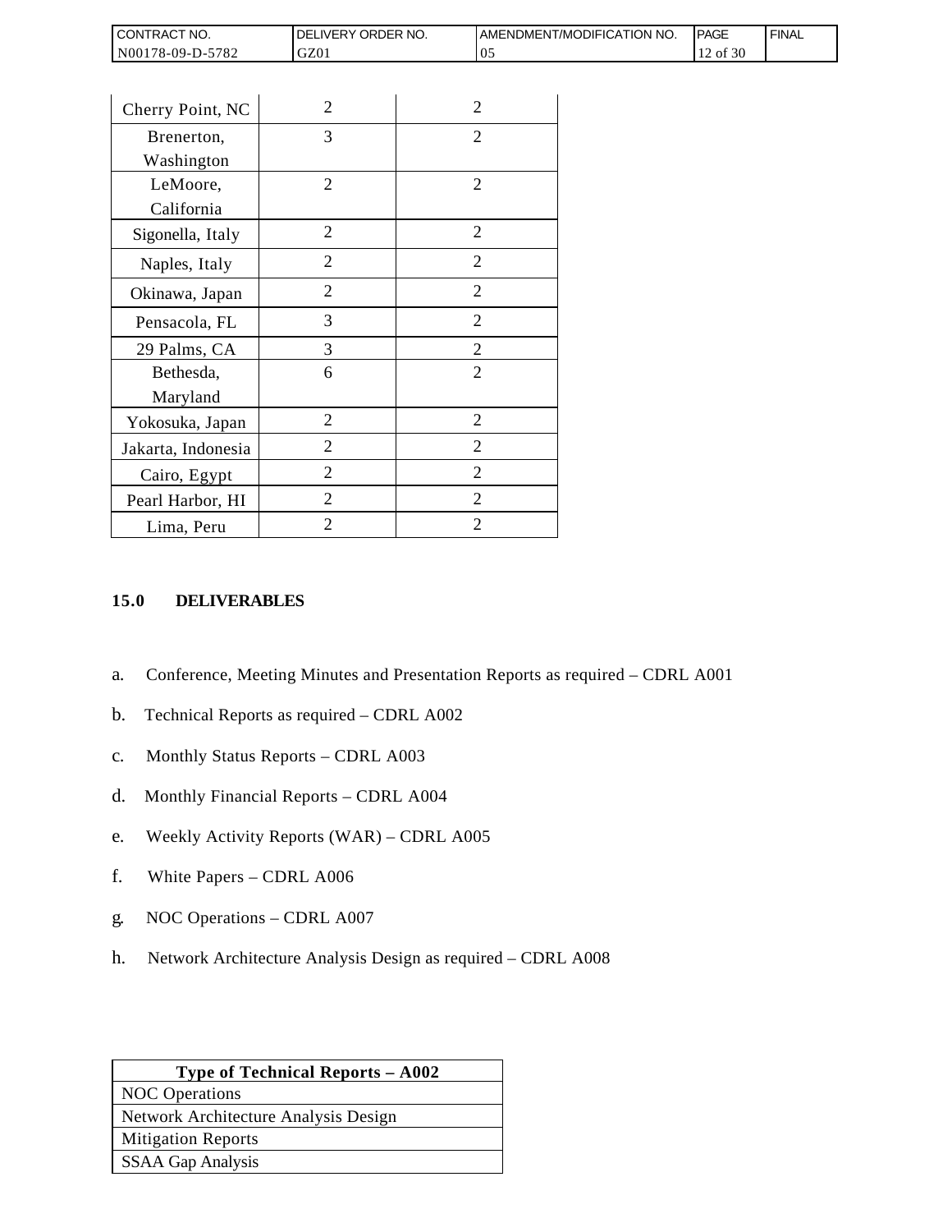| <b>CONTRACT NO.</b> | ' ORDER NO.<br><b>DELIVERY</b> | <b>JAMENDMENT/MODIFICATION NO.</b> | <b>IPAGE</b> | <b>FINAL</b> |
|---------------------|--------------------------------|------------------------------------|--------------|--------------|
| N00178-09-D-5782    | GZ01                           | v.                                 | of 30        |              |

| Cherry Point, NC   | $\overline{c}$ | $\overline{c}$ |
|--------------------|----------------|----------------|
| Brenerton,         | 3              | 2              |
| Washington         |                |                |
| LeMoore,           | $\overline{2}$ | $\overline{2}$ |
| California         |                |                |
| Sigonella, Italy   | 2              | $\mathfrak{D}$ |
| Naples, Italy      | $\overline{2}$ | $\mathfrak{D}$ |
| Okinawa, Japan     | 2              | $\overline{2}$ |
| Pensacola, FL      | 3              | $\overline{2}$ |
| 29 Palms, CA       | 3              | $\overline{2}$ |
| Bethesda,          | 6              | $\overline{2}$ |
| Maryland           |                |                |
| Yokosuka, Japan    | 2              | 2              |
| Jakarta, Indonesia | 2              | 2              |
| Cairo, Egypt       | $\overline{2}$ | $\overline{2}$ |
| Pearl Harbor, HI   | $\overline{2}$ | $\overline{2}$ |
| Lima, Peru         | $\overline{2}$ | $\overline{2}$ |

## **15.0 DELIVERABLES**

- a. Conference, Meeting Minutes and Presentation Reports as required CDRL A001
- b. Technical Reports as required CDRL A002
- c. Monthly Status Reports CDRL A003
- d. Monthly Financial Reports CDRL A004
- e. Weekly Activity Reports (WAR) CDRL A005
- f. White Papers CDRL A006
- g. NOC Operations CDRL A007
- h. Network Architecture Analysis Design as required CDRL A008

| <b>Type of Technical Reports - A002</b> |
|-----------------------------------------|
| <b>NOC</b> Operations                   |
| Network Architecture Analysis Design    |
| <b>Mitigation Reports</b>               |
| SSAA Gap Analysis                       |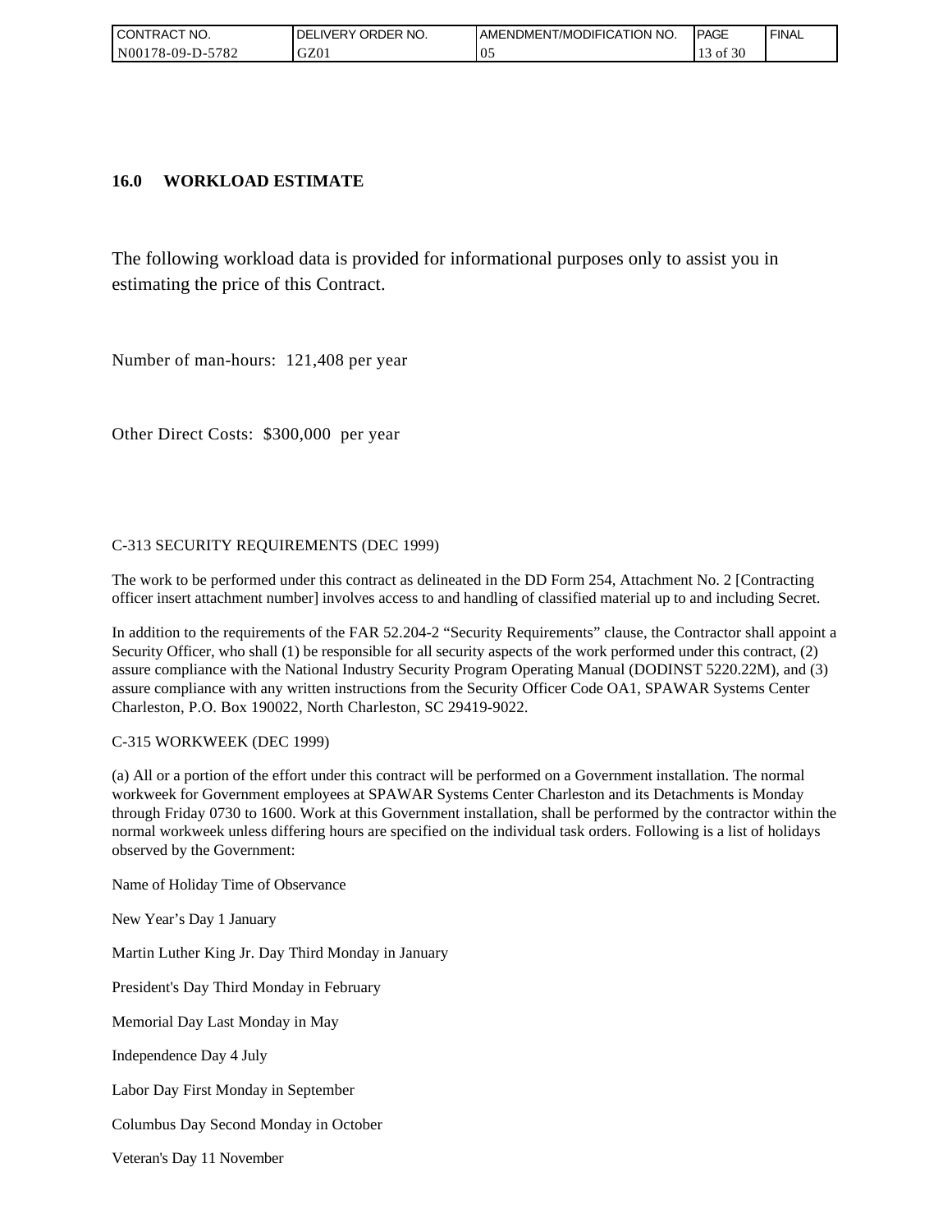| CONTRACT NO.               | ORDER NO.<br><b>DELIVERY</b> | <b>IAMENDMENT/MODIFICATION NO.</b> | <b>IPAGE</b> | <b>FINAL</b> |
|----------------------------|------------------------------|------------------------------------|--------------|--------------|
| $-5782$<br>  N00178-09-D-5 | GZ01                         | v.                                 | f 30<br>ΟĪ   |              |

### **16.0 WORKLOAD ESTIMATE**

The following workload data is provided for informational purposes only to assist you in estimating the price of this Contract.

Number of man-hours: 121,408 per year

Other Direct Costs: \$300,000 per year

#### C-313 SECURITY REQUIREMENTS (DEC 1999)

The work to be performed under this contract as delineated in the DD Form 254, Attachment No. 2 [Contracting officer insert attachment number] involves access to and handling of classified material up to and including Secret.

In addition to the requirements of the FAR 52.204-2 "Security Requirements" clause, the Contractor shall appoint a Security Officer, who shall (1) be responsible for all security aspects of the work performed under this contract, (2) assure compliance with the National Industry Security Program Operating Manual (DODINST 5220.22M), and (3) assure compliance with any written instructions from the Security Officer Code OA1, SPAWAR Systems Center Charleston, P.O. Box 190022, North Charleston, SC 29419-9022.

#### C-315 WORKWEEK (DEC 1999)

(a) All or a portion of the effort under this contract will be performed on a Government installation. The normal workweek for Government employees at SPAWAR Systems Center Charleston and its Detachments is Monday through Friday 0730 to 1600. Work at this Government installation, shall be performed by the contractor within the normal workweek unless differing hours are specified on the individual task orders. Following is a list of holidays observed by the Government:

Name of Holiday Time of Observance

New Year's Day 1 January

Martin Luther King Jr. Day Third Monday in January

President's Day Third Monday in February

Memorial Day Last Monday in May

Independence Day 4 July

Labor Day First Monday in September

Columbus Day Second Monday in October

Veteran's Day 11 November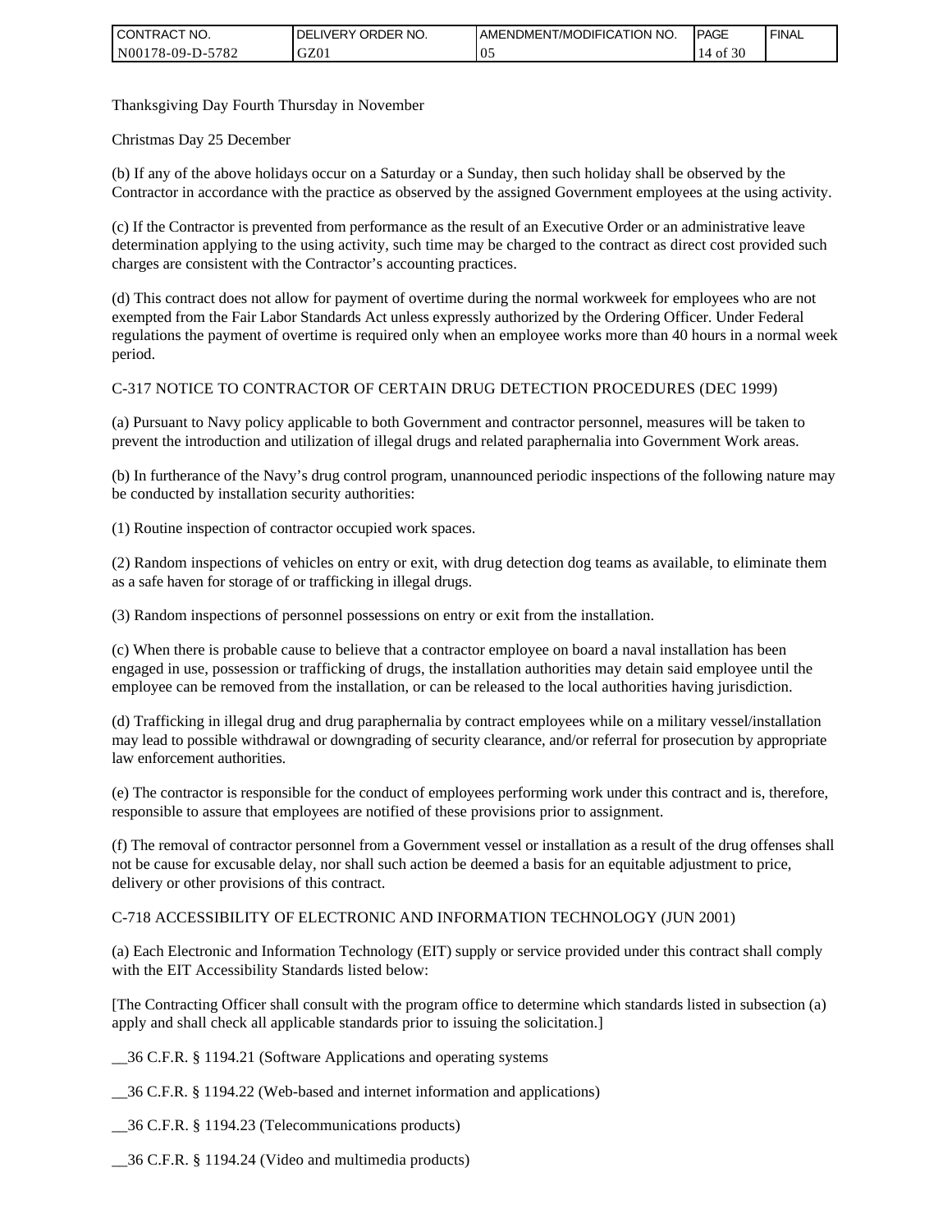| I CONTRACT NO.   | <b>IDELIVERY ORDER NO.</b> | <b>I AMENDMENT/MODIFICATION NO.</b> | <b>PAGE</b> | ' FINAL |
|------------------|----------------------------|-------------------------------------|-------------|---------|
| N00178-09-D-5782 | GZ01                       | 05                                  | f 30<br>0Ť  |         |

Thanksgiving Day Fourth Thursday in November

Christmas Day 25 December

(b) If any of the above holidays occur on a Saturday or a Sunday, then such holiday shall be observed by the Contractor in accordance with the practice as observed by the assigned Government employees at the using activity.

(c) If the Contractor is prevented from performance as the result of an Executive Order or an administrative leave determination applying to the using activity, such time may be charged to the contract as direct cost provided such charges are consistent with the Contractor's accounting practices.

(d) This contract does not allow for payment of overtime during the normal workweek for employees who are not exempted from the Fair Labor Standards Act unless expressly authorized by the Ordering Officer. Under Federal regulations the payment of overtime is required only when an employee works more than 40 hours in a normal week period.

#### C-317 NOTICE TO CONTRACTOR OF CERTAIN DRUG DETECTION PROCEDURES (DEC 1999)

(a) Pursuant to Navy policy applicable to both Government and contractor personnel, measures will be taken to prevent the introduction and utilization of illegal drugs and related paraphernalia into Government Work areas.

(b) In furtherance of the Navy's drug control program, unannounced periodic inspections of the following nature may be conducted by installation security authorities:

(1) Routine inspection of contractor occupied work spaces.

(2) Random inspections of vehicles on entry or exit, with drug detection dog teams as available, to eliminate them as a safe haven for storage of or trafficking in illegal drugs.

(3) Random inspections of personnel possessions on entry or exit from the installation.

(c) When there is probable cause to believe that a contractor employee on board a naval installation has been engaged in use, possession or trafficking of drugs, the installation authorities may detain said employee until the employee can be removed from the installation, or can be released to the local authorities having jurisdiction.

(d) Trafficking in illegal drug and drug paraphernalia by contract employees while on a military vessel/installation may lead to possible withdrawal or downgrading of security clearance, and/or referral for prosecution by appropriate law enforcement authorities.

(e) The contractor is responsible for the conduct of employees performing work under this contract and is, therefore, responsible to assure that employees are notified of these provisions prior to assignment.

(f) The removal of contractor personnel from a Government vessel or installation as a result of the drug offenses shall not be cause for excusable delay, nor shall such action be deemed a basis for an equitable adjustment to price, delivery or other provisions of this contract.

#### C-718 ACCESSIBILITY OF ELECTRONIC AND INFORMATION TECHNOLOGY (JUN 2001)

(a) Each Electronic and Information Technology (EIT) supply or service provided under this contract shall comply with the EIT Accessibility Standards listed below:

[The Contracting Officer shall consult with the program office to determine which standards listed in subsection (a) apply and shall check all applicable standards prior to issuing the solicitation.]

\_\_36 C.F.R. § 1194.21 (Software Applications and operating systems

\_\_36 C.F.R. § 1194.22 (Web-based and internet information and applications)

\_\_36 C.F.R. § 1194.23 (Telecommunications products)

\_\_36 C.F.R. § 1194.24 (Video and multimedia products)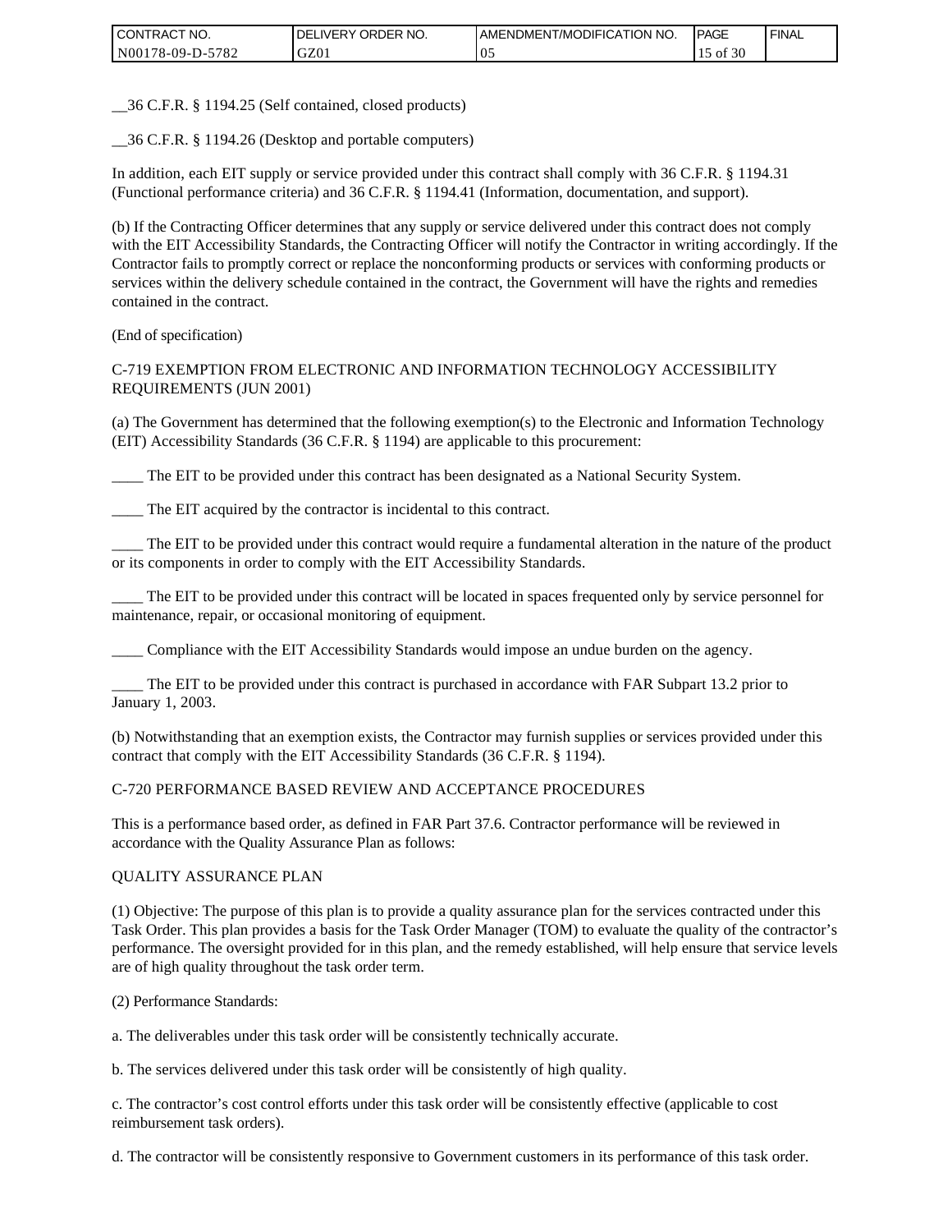| I CONTRACT NO.   | `NO.<br>DELIVERY ORDER | <b>I AMENDMENT/MODIFICATION NO.</b> | <b>PAGE</b> | ' FINAL |
|------------------|------------------------|-------------------------------------|-------------|---------|
| N00178-09-D-5782 | GZ01                   | 0.1                                 | 30<br>οt    |         |

\_\_36 C.F.R. § 1194.25 (Self contained, closed products)

\_\_36 C.F.R. § 1194.26 (Desktop and portable computers)

In addition, each EIT supply or service provided under this contract shall comply with 36 C.F.R. § 1194.31 (Functional performance criteria) and 36 C.F.R. § 1194.41 (Information, documentation, and support).

(b) If the Contracting Officer determines that any supply or service delivered under this contract does not comply with the EIT Accessibility Standards, the Contracting Officer will notify the Contractor in writing accordingly. If the Contractor fails to promptly correct or replace the nonconforming products or services with conforming products or services within the delivery schedule contained in the contract, the Government will have the rights and remedies contained in the contract.

(End of specification)

#### C-719 EXEMPTION FROM ELECTRONIC AND INFORMATION TECHNOLOGY ACCESSIBILITY REQUIREMENTS (JUN 2001)

(a) The Government has determined that the following exemption(s) to the Electronic and Information Technology (EIT) Accessibility Standards (36 C.F.R. § 1194) are applicable to this procurement:

The EIT to be provided under this contract has been designated as a National Security System.

The EIT acquired by the contractor is incidental to this contract.

\_\_\_\_ The EIT to be provided under this contract would require a fundamental alteration in the nature of the product or its components in order to comply with the EIT Accessibility Standards.

\_\_\_\_ The EIT to be provided under this contract will be located in spaces frequented only by service personnel for maintenance, repair, or occasional monitoring of equipment.

\_\_\_\_ Compliance with the EIT Accessibility Standards would impose an undue burden on the agency.

\_\_\_\_ The EIT to be provided under this contract is purchased in accordance with FAR Subpart 13.2 prior to January 1, 2003.

(b) Notwithstanding that an exemption exists, the Contractor may furnish supplies or services provided under this contract that comply with the EIT Accessibility Standards (36 C.F.R. § 1194).

#### C-720 PERFORMANCE BASED REVIEW AND ACCEPTANCE PROCEDURES

This is a performance based order, as defined in FAR Part 37.6. Contractor performance will be reviewed in accordance with the Quality Assurance Plan as follows:

#### QUALITY ASSURANCE PLAN

(1) Objective: The purpose of this plan is to provide a quality assurance plan for the services contracted under this Task Order. This plan provides a basis for the Task Order Manager (TOM) to evaluate the quality of the contractor's performance. The oversight provided for in this plan, and the remedy established, will help ensure that service levels are of high quality throughout the task order term.

(2) Performance Standards:

a. The deliverables under this task order will be consistently technically accurate.

b. The services delivered under this task order will be consistently of high quality.

c. The contractor's cost control efforts under this task order will be consistently effective (applicable to cost reimbursement task orders).

d. The contractor will be consistently responsive to Government customers in its performance of this task order.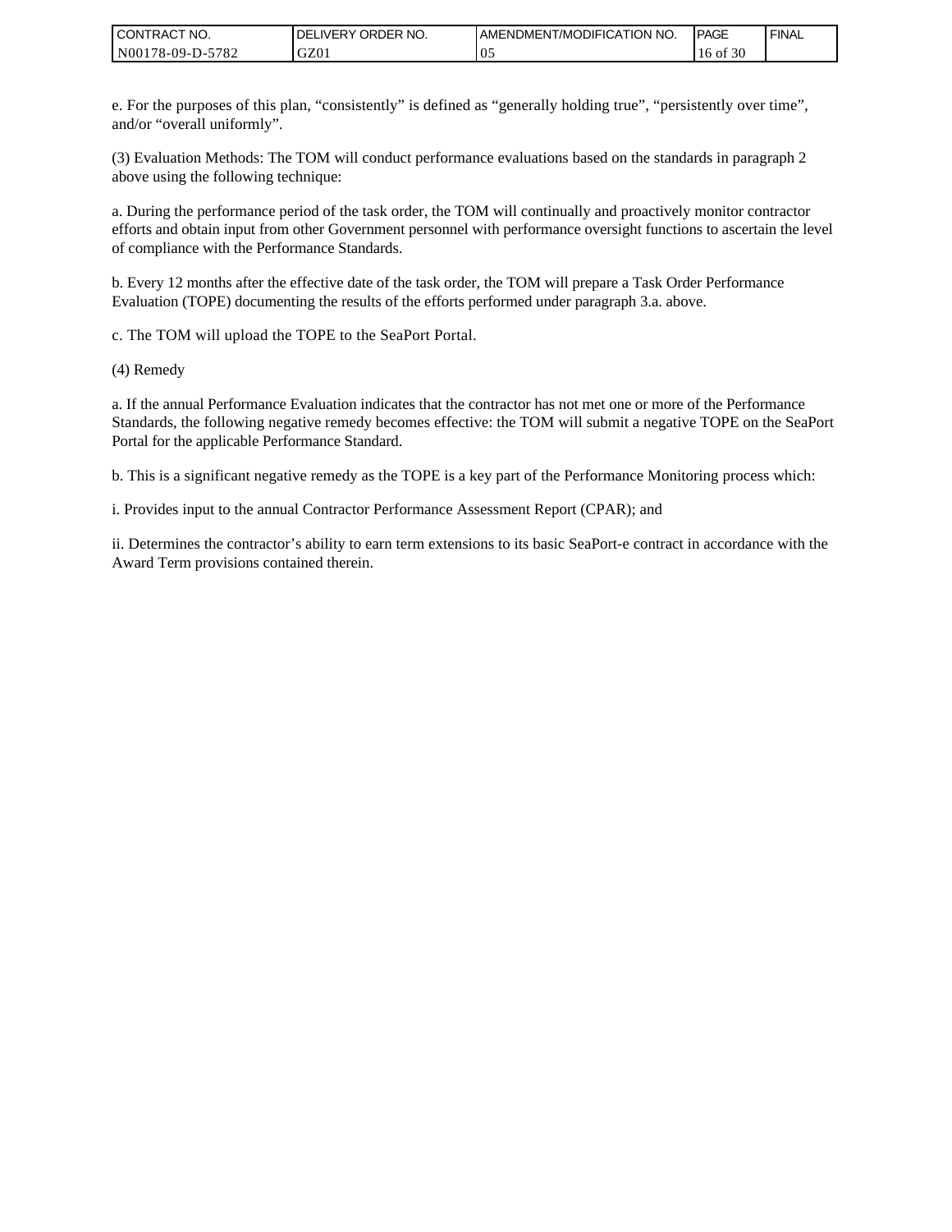| I CONTRACT NO.   | `NO.<br><b>DELIVERY ORDER</b> | <b>I AMENDMENT/MODIFICATION NO.</b> | <b>PAGE</b>       | ' FINAL |
|------------------|-------------------------------|-------------------------------------|-------------------|---------|
| N00178-09-D-5782 | GZ01                          | 10:                                 | f 30<br>۰of<br>16 |         |

e. For the purposes of this plan, "consistently" is defined as "generally holding true", "persistently over time", and/or "overall uniformly".

(3) Evaluation Methods: The TOM will conduct performance evaluations based on the standards in paragraph 2 above using the following technique:

a. During the performance period of the task order, the TOM will continually and proactively monitor contractor efforts and obtain input from other Government personnel with performance oversight functions to ascertain the level of compliance with the Performance Standards.

b. Every 12 months after the effective date of the task order, the TOM will prepare a Task Order Performance Evaluation (TOPE) documenting the results of the efforts performed under paragraph 3.a. above.

c. The TOM will upload the TOPE to the SeaPort Portal.

(4) Remedy

a. If the annual Performance Evaluation indicates that the contractor has not met one or more of the Performance Standards, the following negative remedy becomes effective: the TOM will submit a negative TOPE on the SeaPort Portal for the applicable Performance Standard.

b. This is a significant negative remedy as the TOPE is a key part of the Performance Monitoring process which:

i. Provides input to the annual Contractor Performance Assessment Report (CPAR); and

ii. Determines the contractor's ability to earn term extensions to its basic SeaPort-e contract in accordance with the Award Term provisions contained therein.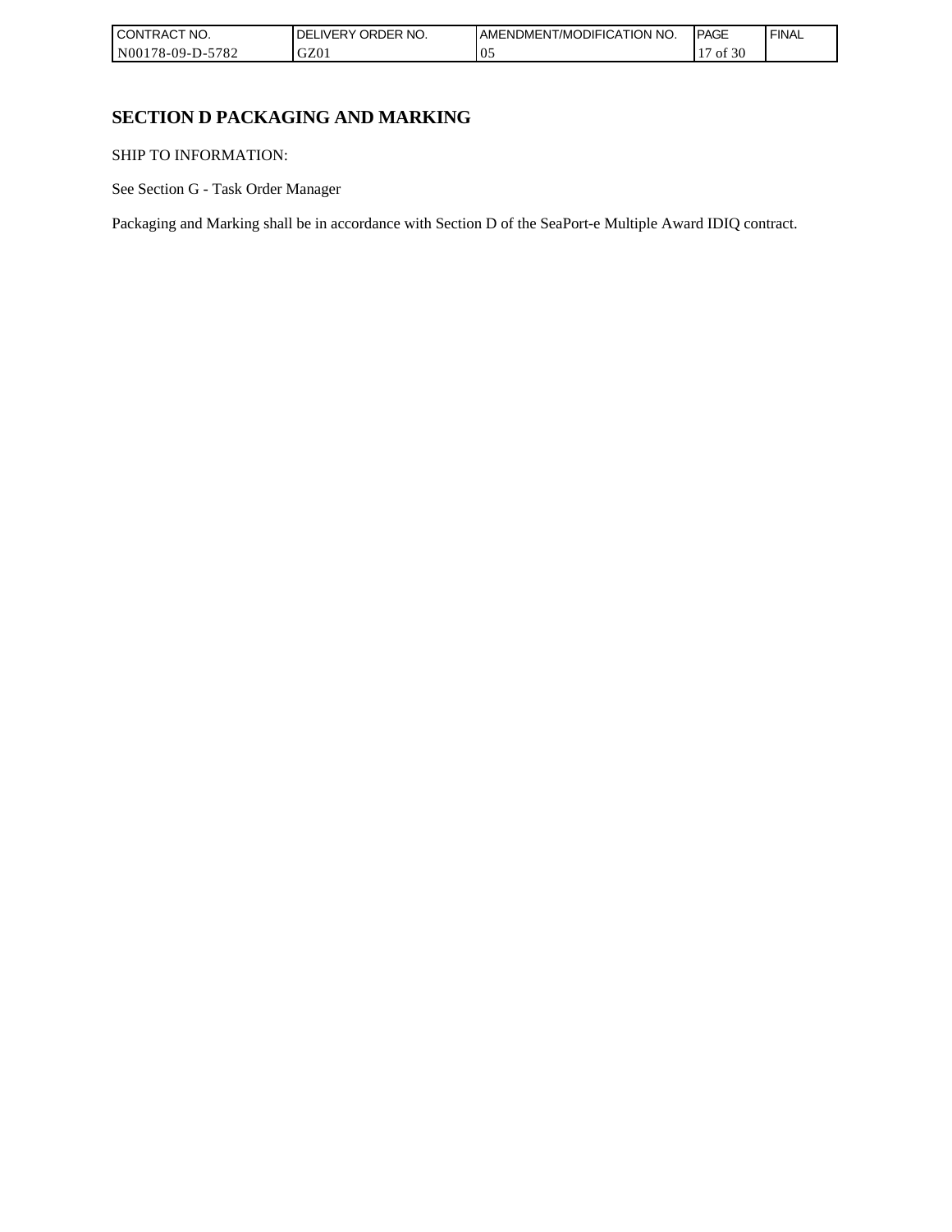| I CONTRACT NO.   | NO.<br><b>ORDER</b><br>DELI<br>_IVERY | AMENDMENT/MODIFICATION NO. | <b>IPAGE</b> | <b>FINAL</b> |
|------------------|---------------------------------------|----------------------------|--------------|--------------|
| N00178-09-D-5782 | GZ01                                  | $\mathbf{v}$ .             | f 30<br>ΟĪ   |              |

٦

# **SECTION D PACKAGING AND MARKING**

SHIP TO INFORMATION:

See Section G - Task Order Manager

Packaging and Marking shall be in accordance with Section D of the SeaPort-e Multiple Award IDIQ contract.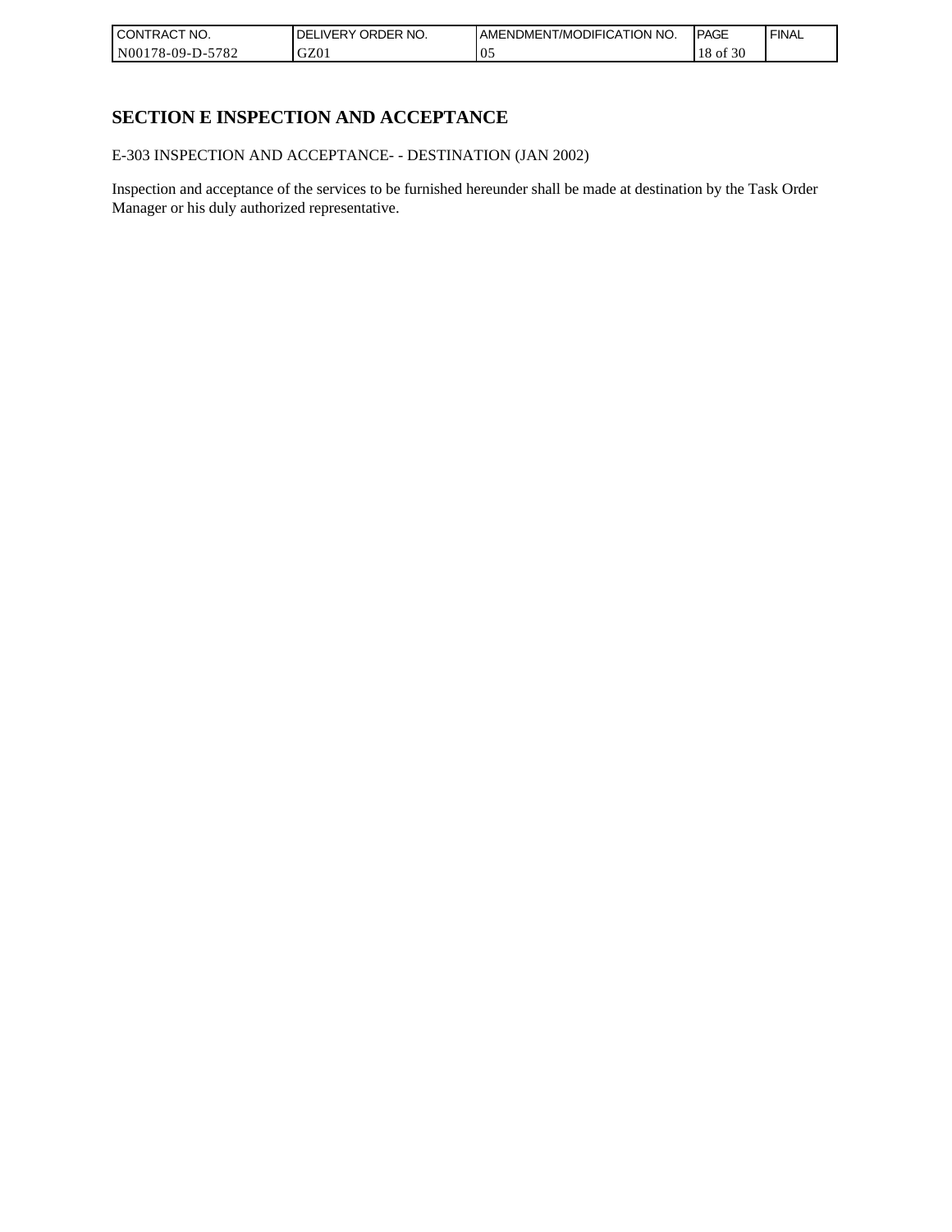| l CON <sup>-</sup><br>'TRACT NO. | <b>ORDER</b><br>NO.<br>IVERY<br>DELI | AMENDMENT/MODIFICATION NO. | <b>IPAGE</b>     | ' FINAL |
|----------------------------------|--------------------------------------|----------------------------|------------------|---------|
| N00178-09-D-5<br>-5782           | GZ01                                 | U.                         | f 30<br>18<br>ΟĪ |         |

# **SECTION E INSPECTION AND ACCEPTANCE**

E-303 INSPECTION AND ACCEPTANCE- - DESTINATION (JAN 2002)

Inspection and acceptance of the services to be furnished hereunder shall be made at destination by the Task Order Manager or his duly authorized representative.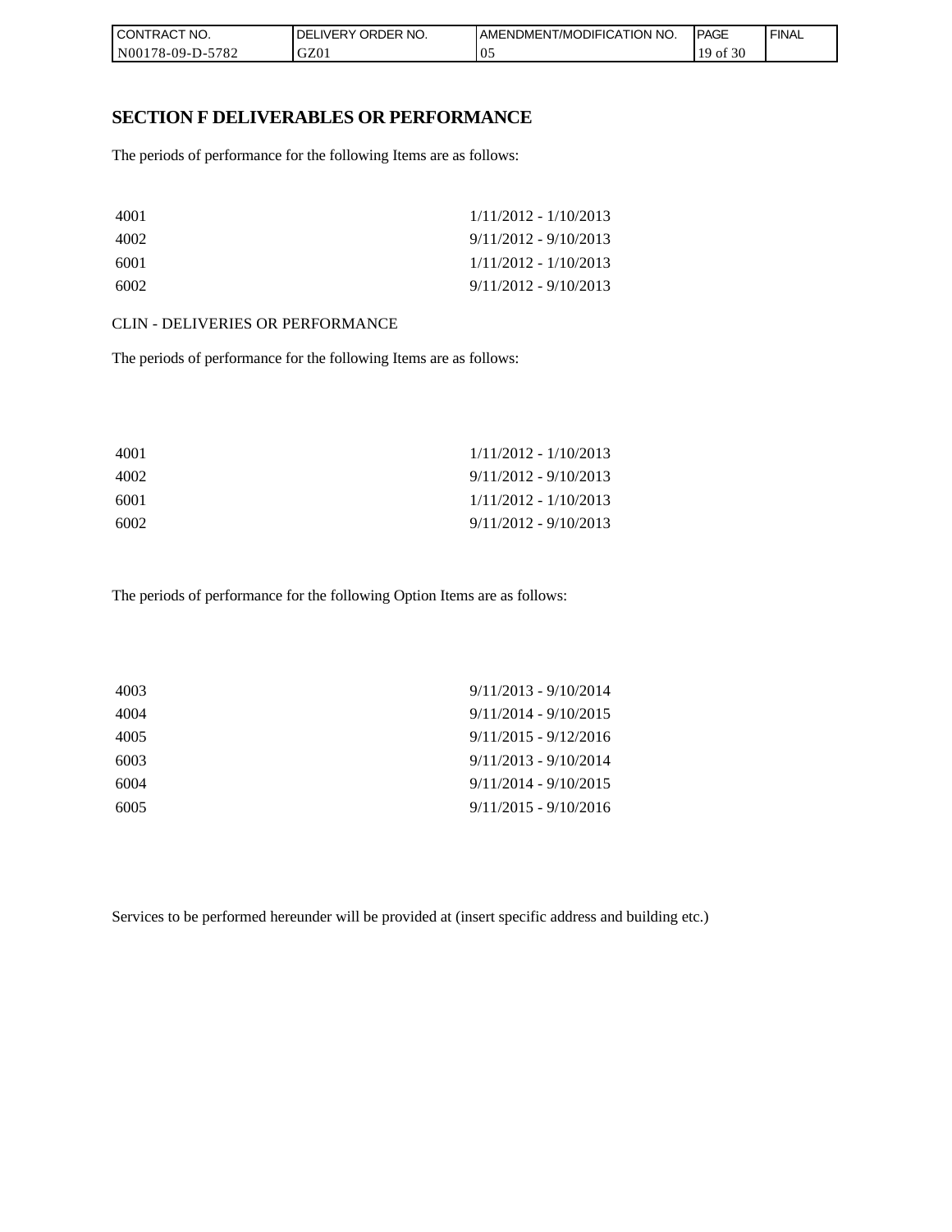| I CONTRACT NO.   | NO.<br><b>IDELIVERY ORDER</b> | <b>IAMENDMENT/MODIFICATION NO.</b> | <b>PAGE</b>  | ' FINAL |
|------------------|-------------------------------|------------------------------------|--------------|---------|
| N00178-09-D-5782 | GZ01                          | 05                                 | f 30<br>` OI |         |

### **SECTION F DELIVERABLES OR PERFORMANCE**

The periods of performance for the following Items are as follows:

| 4001 | $1/11/2012 - 1/10/2013$ |
|------|-------------------------|
| 4002 | $9/11/2012 - 9/10/2013$ |
| 6001 | $1/11/2012 - 1/10/2013$ |
| 6002 | $9/11/2012 - 9/10/2013$ |

#### CLIN - DELIVERIES OR PERFORMANCE

The periods of performance for the following Items are as follows:

| 4001 | $1/11/2012 - 1/10/2013$ |
|------|-------------------------|
| 4002 | $9/11/2012 - 9/10/2013$ |
| 6001 | $1/11/2012 - 1/10/2013$ |
| 6002 | $9/11/2012 - 9/10/2013$ |

The periods of performance for the following Option Items are as follows:

| 4003 | $9/11/2013 - 9/10/2014$ |
|------|-------------------------|
| 4004 | $9/11/2014 - 9/10/2015$ |
| 4005 | $9/11/2015 - 9/12/2016$ |
| 6003 | $9/11/2013 - 9/10/2014$ |
| 6004 | $9/11/2014 - 9/10/2015$ |
| 6005 | $9/11/2015 - 9/10/2016$ |
|      |                         |

Services to be performed hereunder will be provided at (insert specific address and building etc.)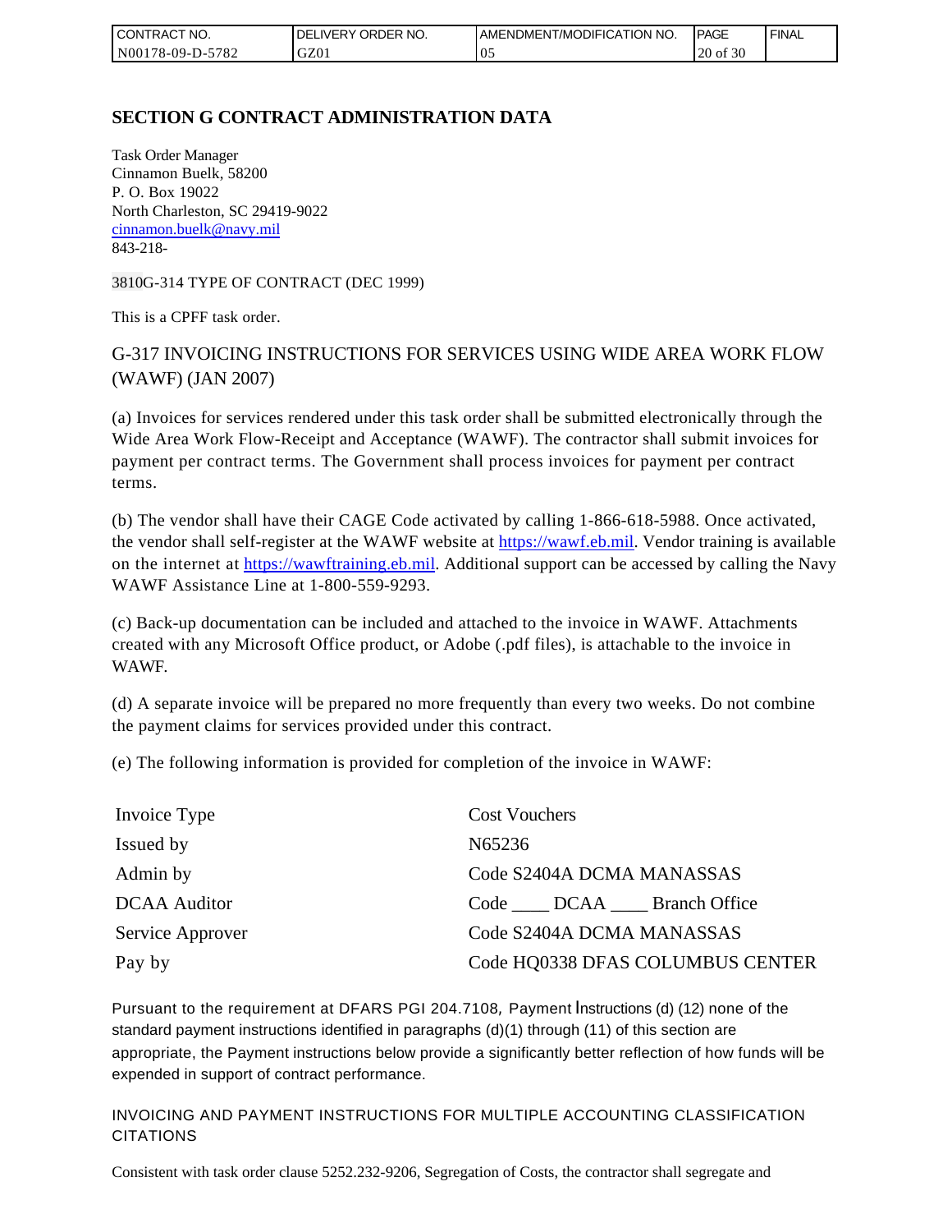| I CONTRACT NO.   | ORDER NO.<br><b>DELIVERY</b> | AMENDMENT/MODIFICATION NO. | <b>IPAGE</b> | <b>FINAL</b> |
|------------------|------------------------------|----------------------------|--------------|--------------|
| N00178-09-D-5782 | GZ01                         | v.                         | 20 of 30     |              |

## **SECTION G CONTRACT ADMINISTRATION DATA**

Task Order Manager Cinnamon Buelk, 58200 P. O. Box 19022 North Charleston, SC 29419-9022 [cinnamon.buelk@navy.mil](mailto:cinnamon.buelk@navy.mil) 843-218-

3810G-314 TYPE OF CONTRACT (DEC 1999)

This is a CPFF task order.

# G-317 INVOICING INSTRUCTIONS FOR SERVICES USING WIDE AREA WORK FLOW (WAWF) (JAN 2007)

(a) Invoices for services rendered under this task order shall be submitted electronically through the Wide Area Work Flow-Receipt and Acceptance (WAWF). The contractor shall submit invoices for payment per contract terms. The Government shall process invoices for payment per contract terms.

(b) The vendor shall have their CAGE Code activated by calling 1-866-618-5988. Once activated, the vendor shall self-register at the WAWF website at [https://wawf.eb.mil.](https://wawf.eb.mil/) Vendor training is available on the internet at [https://wawftraining.eb.mil.](https://wawftraining.eb.mil/) Additional support can be accessed by calling the Navy WAWF Assistance Line at 1-800-559-9293.

(c) Back-up documentation can be included and attached to the invoice in WAWF. Attachments created with any Microsoft Office product, or Adobe (.pdf files), is attachable to the invoice in WAWF.

(d) A separate invoice will be prepared no more frequently than every two weeks. Do not combine the payment claims for services provided under this contract.

(e) The following information is provided for completion of the invoice in WAWF:

| Invoice Type        | <b>Cost Vouchers</b>             |
|---------------------|----------------------------------|
| Issued by           | N65236                           |
| Admin by            | Code S2404A DCMA MANASSAS        |
| <b>DCAA</b> Auditor | Code DCAA Branch Office          |
| Service Approver    | Code S2404A DCMA MANASSAS        |
| Pay by              | Code HQ0338 DFAS COLUMBUS CENTER |

Pursuant to the requirement at DFARS PGI 204.7108, Payment Instructions (d) (12) none of the standard payment instructions identified in paragraphs (d)(1) through (11) of this section are appropriate, the Payment instructions below provide a significantly better reflection of how funds will be expended in support of contract performance.

INVOICING AND PAYMENT INSTRUCTIONS FOR MULTIPLE ACCOUNTING CLASSIFICATION CITATIONS

Consistent with task order clause 5252.232-9206, Segregation of Costs, the contractor shall segregate and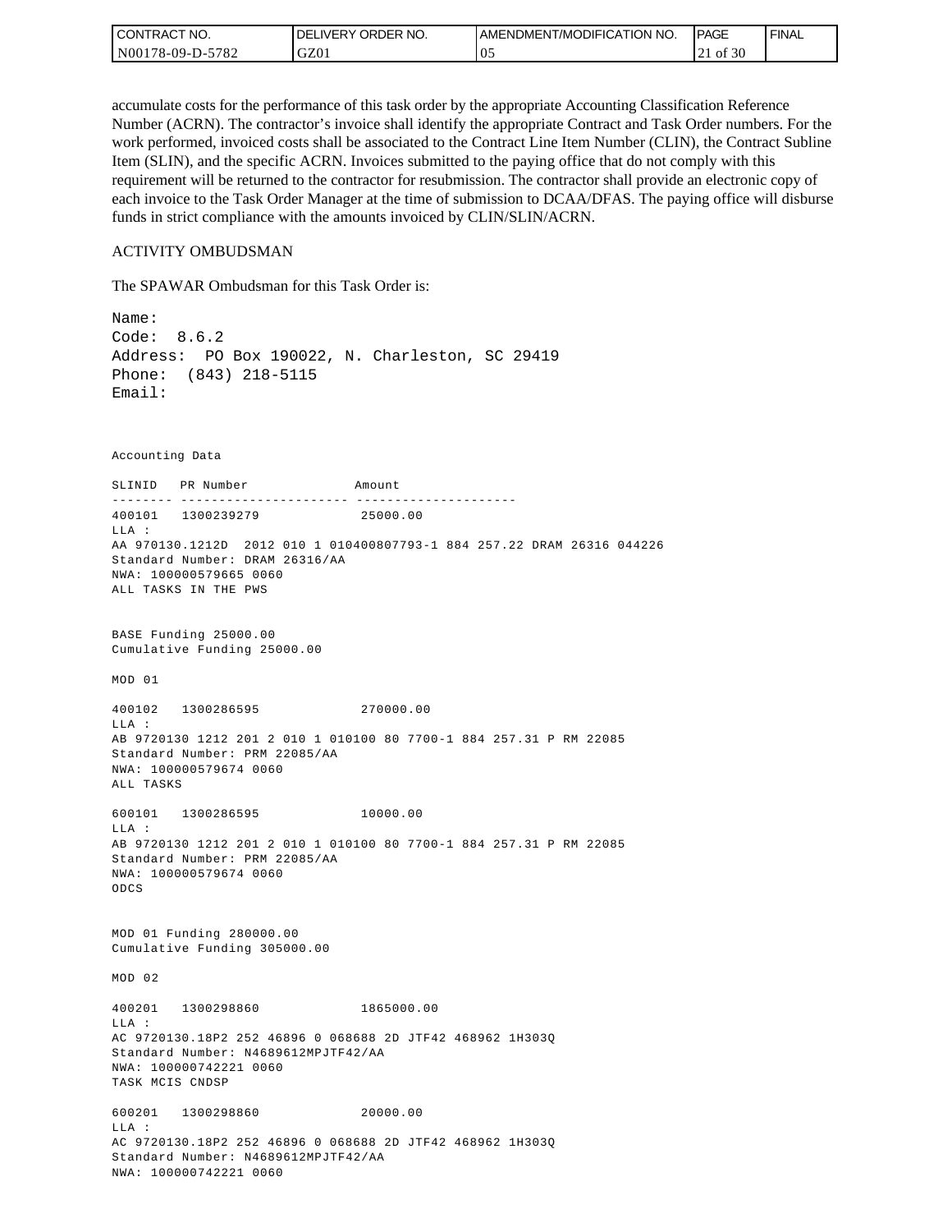| l CON <sup>-</sup><br><b>'TRACT NO.</b> | <b>IDELIVERY ORDER NO.</b> | I AMENDMENT/MODIFICATION NO. | <b>IPAGE</b> | <b>FINAL</b> |
|-----------------------------------------|----------------------------|------------------------------|--------------|--------------|
| N00178-09-D-5782                        | GZ01                       | UJ.                          | of 30        |              |

accumulate costs for the performance of this task order by the appropriate Accounting Classification Reference Number (ACRN). The contractor's invoice shall identify the appropriate Contract and Task Order numbers. For the work performed, invoiced costs shall be associated to the Contract Line Item Number (CLIN), the Contract Subline Item (SLIN), and the specific ACRN. Invoices submitted to the paying office that do not comply with this requirement will be returned to the contractor for resubmission. The contractor shall provide an electronic copy of each invoice to the Task Order Manager at the time of submission to DCAA/DFAS. The paying office will disburse funds in strict compliance with the amounts invoiced by CLIN/SLIN/ACRN.

#### ACTIVITY OMBUDSMAN

The SPAWAR Ombudsman for this Task Order is:

Name: Code: 8.6.2 Address: PO Box 190022, N. Charleston, SC 29419 Phone: (843) 218-5115 Email: Accounting Data SLINID PR Number Amount -------- ---------------------- ---------------------400101 1300239279 25000.00 LLA : AA 970130.1212D 2012 010 1 010400807793-1 884 257.22 DRAM 26316 044226 Standard Number: DRAM 26316/AA NWA: 100000579665 0060 ALL TASKS IN THE PWS BASE Funding 25000.00 Cumulative Funding 25000.00 MOD 01 400102 1300286595 270000.00  $T.T.A$  : AB 9720130 1212 201 2 010 1 010100 80 7700-1 884 257.31 P RM 22085 Standard Number: PRM 22085/AA NWA: 100000579674 0060 ALL TASKS 600101 1300286595 10000.00 LLA : AB 9720130 1212 201 2 010 1 010100 80 7700-1 884 257.31 P RM 22085 Standard Number: PRM 22085/AA NWA: 100000579674 0060 ODCS MOD 01 Funding 280000.00 Cumulative Funding 305000.00 MOD 02 400201 1300298860 1865000.00 LLA : AC 9720130.18P2 252 46896 0 068688 2D JTF42 468962 1H303Q Standard Number: N4689612MPJTF42/AA NWA: 100000742221 0060 TASK MCIS CNDSP 600201 1300298860 20000.00 LLA : AC 9720130.18P2 252 46896 0 068688 2D JTF42 468962 1H303Q Standard Number: N4689612MPJTF42/AA NWA: 100000742221 0060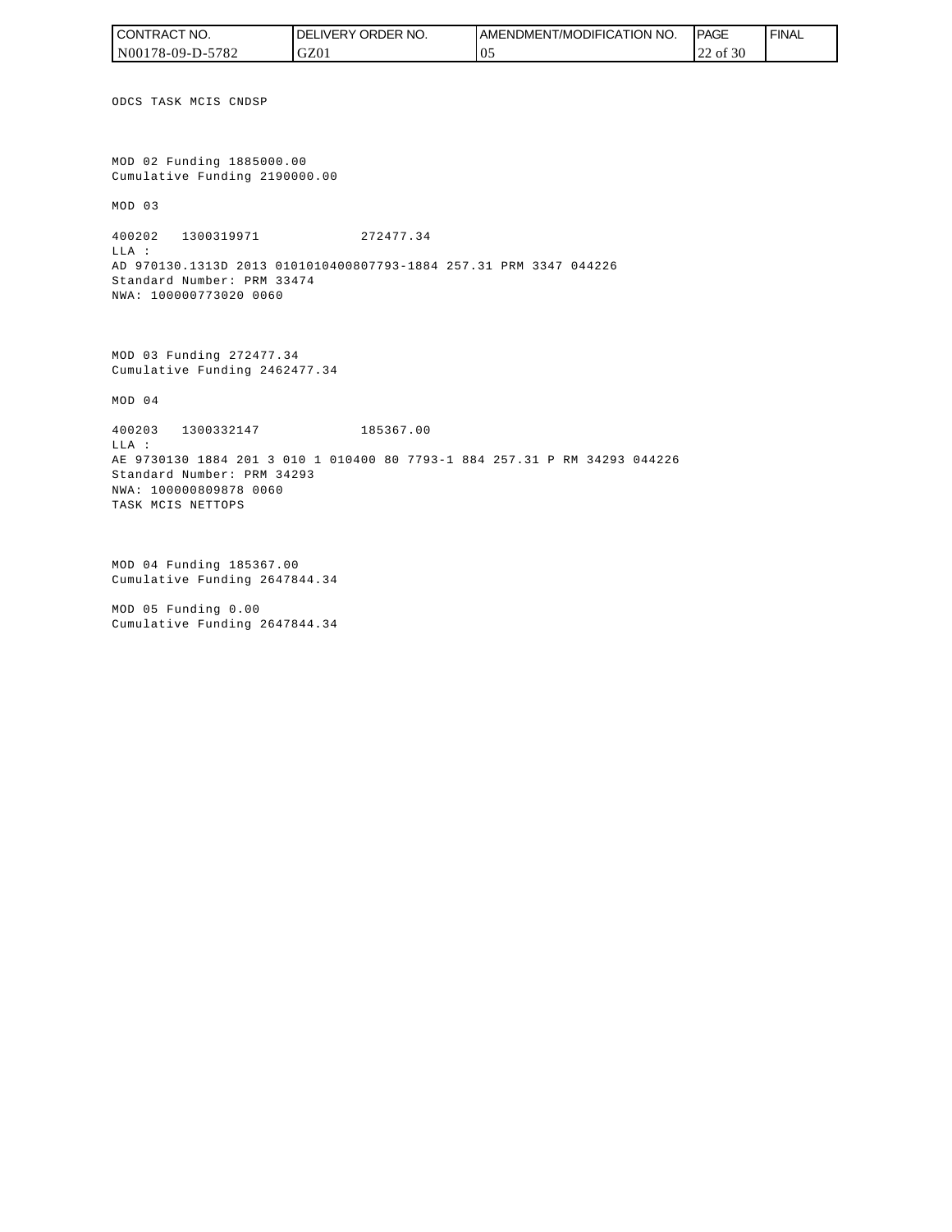| 'CONTRACT NO.              | ORDER<br>NO.<br><b>DELIVERY</b> | AMENDMENT/MODIFICATION NO. | <b>PAGE</b> | <b>FINAL</b> |
|----------------------------|---------------------------------|----------------------------|-------------|--------------|
| $-5782$<br>$N00178-09-D-5$ | GZ01                            | O.                         | of 30<br>∸  |              |

ODCS TASK MCIS CNDSP

MOD 02 Funding 1885000.00 Cumulative Funding 2190000.00

MOD 03

400202 1300319971 272477.34 LLA : AD 970130.1313D 2013 0101010400807793-1884 257.31 PRM 3347 044226 Standard Number: PRM 33474 NWA: 100000773020 0060

MOD 03 Funding 272477.34 Cumulative Funding 2462477.34

MOD 04

400203 1300332147 185367.00

LLA : AE 9730130 1884 201 3 010 1 010400 80 7793-1 884 257.31 P RM 34293 044226 Standard Number: PRM 34293 NWA: 100000809878 0060 TASK MCIS NETTOPS

MOD 04 Funding 185367.00 Cumulative Funding 2647844.34

MOD 05 Funding 0.00 Cumulative Funding 2647844.34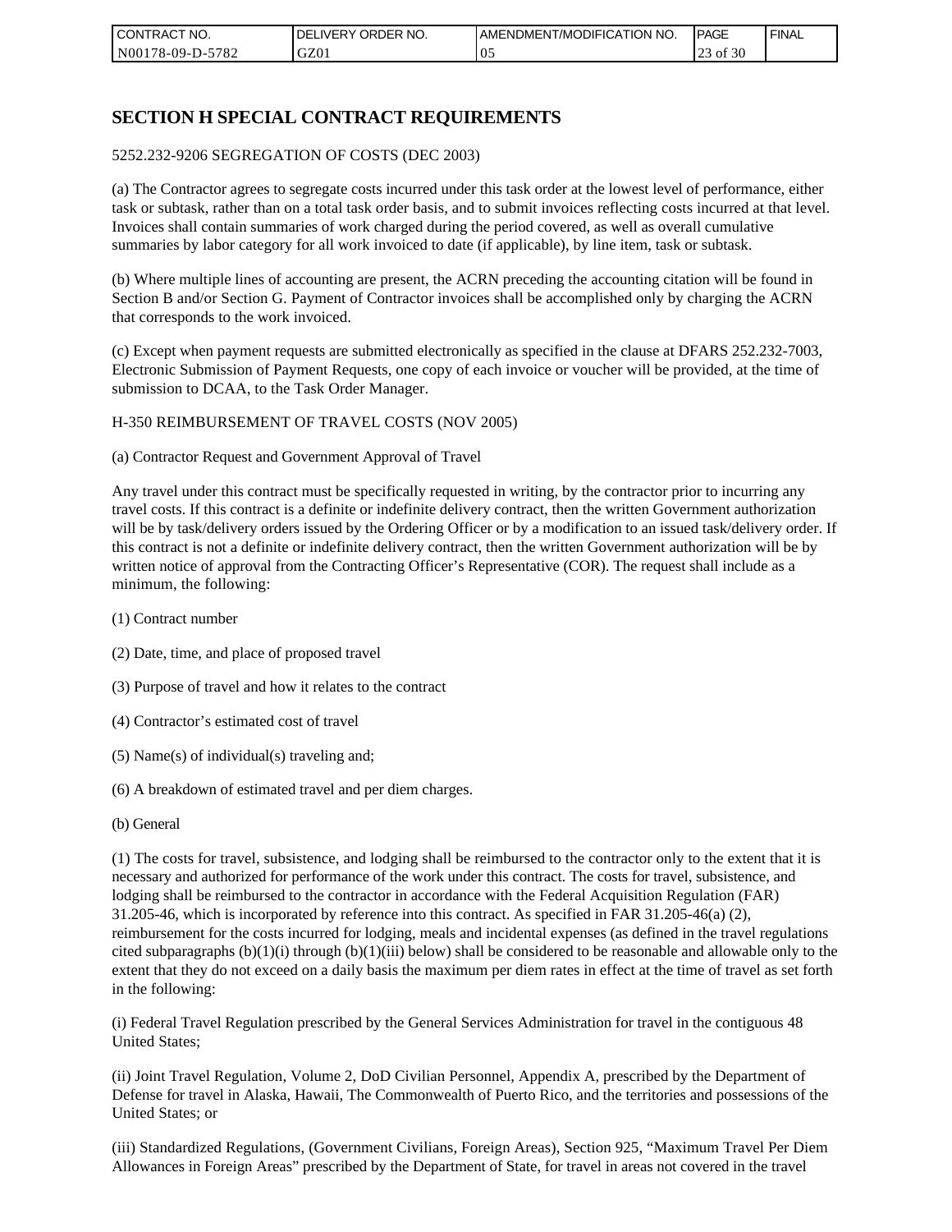| l CON <sup>-</sup><br>'TRACT NO. | <b>ORDER</b><br>NO.<br>IVERY<br>DELI` | AMENDMENT/MODIFICATION NO. | <b>IPAGE</b>                  | <b>FINAL</b> |
|----------------------------------|---------------------------------------|----------------------------|-------------------------------|--------------|
| N00178-09-D-5<br>5782            | GZ01                                  | U.                         | f 30<br>$\bigcap$<br>ΟĪ<br>رے |              |

## **SECTION H SPECIAL CONTRACT REQUIREMENTS**

#### 5252.232-9206 SEGREGATION OF COSTS (DEC 2003)

(a) The Contractor agrees to segregate costs incurred under this task order at the lowest level of performance, either task or subtask, rather than on a total task order basis, and to submit invoices reflecting costs incurred at that level. Invoices shall contain summaries of work charged during the period covered, as well as overall cumulative summaries by labor category for all work invoiced to date (if applicable), by line item, task or subtask.

(b) Where multiple lines of accounting are present, the ACRN preceding the accounting citation will be found in Section B and/or Section G. Payment of Contractor invoices shall be accomplished only by charging the ACRN that corresponds to the work invoiced.

(c) Except when payment requests are submitted electronically as specified in the clause at DFARS 252.232-7003, Electronic Submission of Payment Requests, one copy of each invoice or voucher will be provided, at the time of submission to DCAA, to the Task Order Manager.

#### H-350 REIMBURSEMENT OF TRAVEL COSTS (NOV 2005)

(a) Contractor Request and Government Approval of Travel

Any travel under this contract must be specifically requested in writing, by the contractor prior to incurring any travel costs. If this contract is a definite or indefinite delivery contract, then the written Government authorization will be by task/delivery orders issued by the Ordering Officer or by a modification to an issued task/delivery order. If this contract is not a definite or indefinite delivery contract, then the written Government authorization will be by written notice of approval from the Contracting Officer's Representative (COR). The request shall include as a minimum, the following:

- (1) Contract number
- (2) Date, time, and place of proposed travel
- (3) Purpose of travel and how it relates to the contract
- (4) Contractor's estimated cost of travel
- (5) Name(s) of individual(s) traveling and;
- (6) A breakdown of estimated travel and per diem charges.
- (b) General

(1) The costs for travel, subsistence, and lodging shall be reimbursed to the contractor only to the extent that it is necessary and authorized for performance of the work under this contract. The costs for travel, subsistence, and lodging shall be reimbursed to the contractor in accordance with the Federal Acquisition Regulation (FAR) 31.205-46, which is incorporated by reference into this contract. As specified in FAR 31.205-46(a) (2), reimbursement for the costs incurred for lodging, meals and incidental expenses (as defined in the travel regulations cited subparagraphs  $(b)(1)(i)$  through  $(b)(1)(iii)$  below) shall be considered to be reasonable and allowable only to the extent that they do not exceed on a daily basis the maximum per diem rates in effect at the time of travel as set forth in the following:

(i) Federal Travel Regulation prescribed by the General Services Administration for travel in the contiguous 48 United States;

(ii) Joint Travel Regulation, Volume 2, DoD Civilian Personnel, Appendix A, prescribed by the Department of Defense for travel in Alaska, Hawaii, The Commonwealth of Puerto Rico, and the territories and possessions of the United States; or

(iii) Standardized Regulations, (Government Civilians, Foreign Areas), Section 925, "Maximum Travel Per Diem Allowances in Foreign Areas" prescribed by the Department of State, for travel in areas not covered in the travel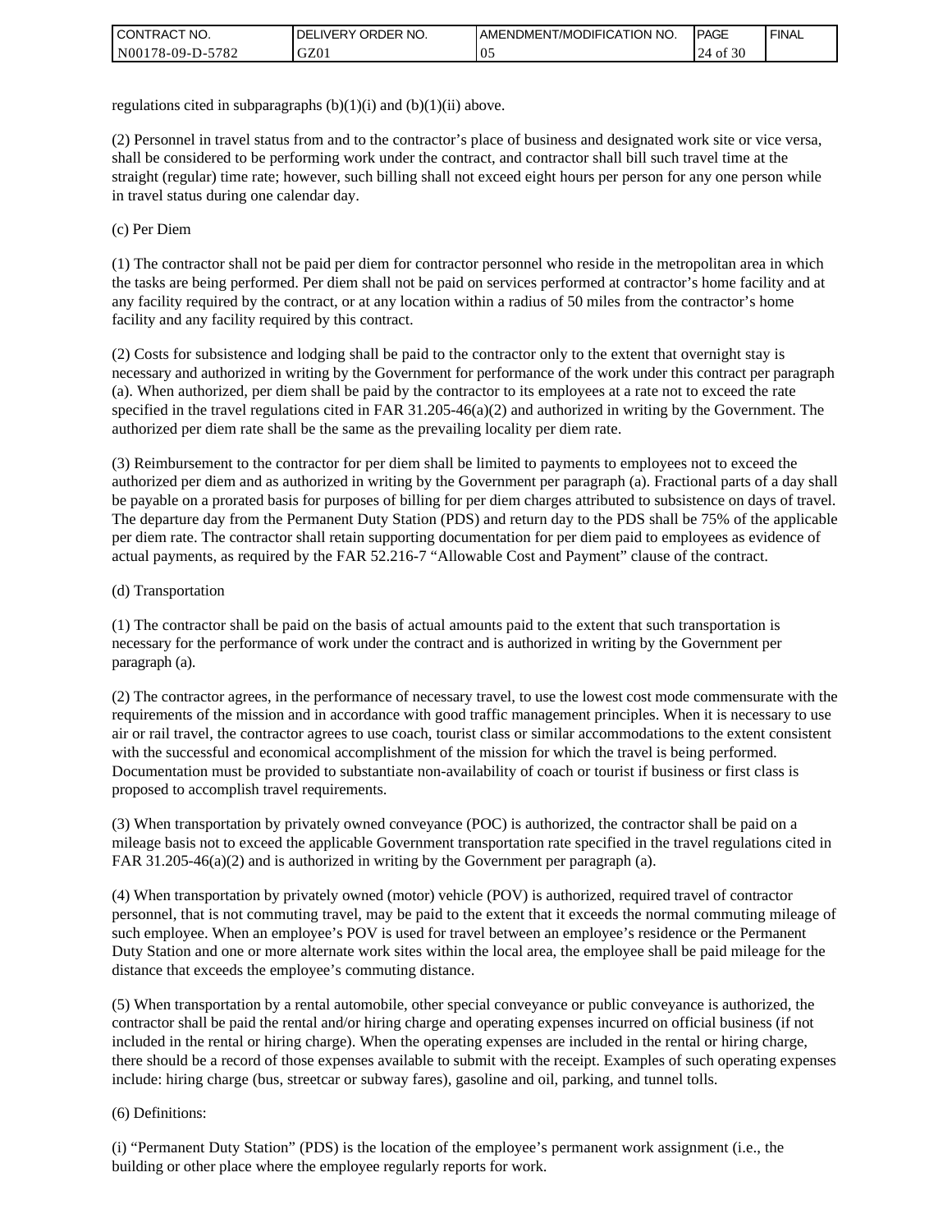| I CONTRACT NO.   | ORDER NO.<br><b>DELIVERY</b> | <b>JAMENDMENT/MODIFICATION NO.</b> | <b>IPAGE</b>            | <b>FINAL</b> |
|------------------|------------------------------|------------------------------------|-------------------------|--------------|
| N00178-09-D-5782 | GZ01                         | v.                                 | $\cdot$ 30<br>24<br>∙of |              |

regulations cited in subparagraphs  $(b)(1)(i)$  and  $(b)(1)(ii)$  above.

(2) Personnel in travel status from and to the contractor's place of business and designated work site or vice versa, shall be considered to be performing work under the contract, and contractor shall bill such travel time at the straight (regular) time rate; however, such billing shall not exceed eight hours per person for any one person while in travel status during one calendar day.

(c) Per Diem

(1) The contractor shall not be paid per diem for contractor personnel who reside in the metropolitan area in which the tasks are being performed. Per diem shall not be paid on services performed at contractor's home facility and at any facility required by the contract, or at any location within a radius of 50 miles from the contractor's home facility and any facility required by this contract.

(2) Costs for subsistence and lodging shall be paid to the contractor only to the extent that overnight stay is necessary and authorized in writing by the Government for performance of the work under this contract per paragraph (a). When authorized, per diem shall be paid by the contractor to its employees at a rate not to exceed the rate specified in the travel regulations cited in FAR 31.205-46(a)(2) and authorized in writing by the Government. The authorized per diem rate shall be the same as the prevailing locality per diem rate.

(3) Reimbursement to the contractor for per diem shall be limited to payments to employees not to exceed the authorized per diem and as authorized in writing by the Government per paragraph (a). Fractional parts of a day shall be payable on a prorated basis for purposes of billing for per diem charges attributed to subsistence on days of travel. The departure day from the Permanent Duty Station (PDS) and return day to the PDS shall be 75% of the applicable per diem rate. The contractor shall retain supporting documentation for per diem paid to employees as evidence of actual payments, as required by the FAR 52.216-7 "Allowable Cost and Payment" clause of the contract.

#### (d) Transportation

(1) The contractor shall be paid on the basis of actual amounts paid to the extent that such transportation is necessary for the performance of work under the contract and is authorized in writing by the Government per paragraph (a).

(2) The contractor agrees, in the performance of necessary travel, to use the lowest cost mode commensurate with the requirements of the mission and in accordance with good traffic management principles. When it is necessary to use air or rail travel, the contractor agrees to use coach, tourist class or similar accommodations to the extent consistent with the successful and economical accomplishment of the mission for which the travel is being performed. Documentation must be provided to substantiate non-availability of coach or tourist if business or first class is proposed to accomplish travel requirements.

(3) When transportation by privately owned conveyance (POC) is authorized, the contractor shall be paid on a mileage basis not to exceed the applicable Government transportation rate specified in the travel regulations cited in FAR 31.205-46(a)(2) and is authorized in writing by the Government per paragraph (a).

(4) When transportation by privately owned (motor) vehicle (POV) is authorized, required travel of contractor personnel, that is not commuting travel, may be paid to the extent that it exceeds the normal commuting mileage of such employee. When an employee's POV is used for travel between an employee's residence or the Permanent Duty Station and one or more alternate work sites within the local area, the employee shall be paid mileage for the distance that exceeds the employee's commuting distance.

(5) When transportation by a rental automobile, other special conveyance or public conveyance is authorized, the contractor shall be paid the rental and/or hiring charge and operating expenses incurred on official business (if not included in the rental or hiring charge). When the operating expenses are included in the rental or hiring charge, there should be a record of those expenses available to submit with the receipt. Examples of such operating expenses include: hiring charge (bus, streetcar or subway fares), gasoline and oil, parking, and tunnel tolls.

#### (6) Definitions:

(i) "Permanent Duty Station" (PDS) is the location of the employee's permanent work assignment (i.e., the building or other place where the employee regularly reports for work.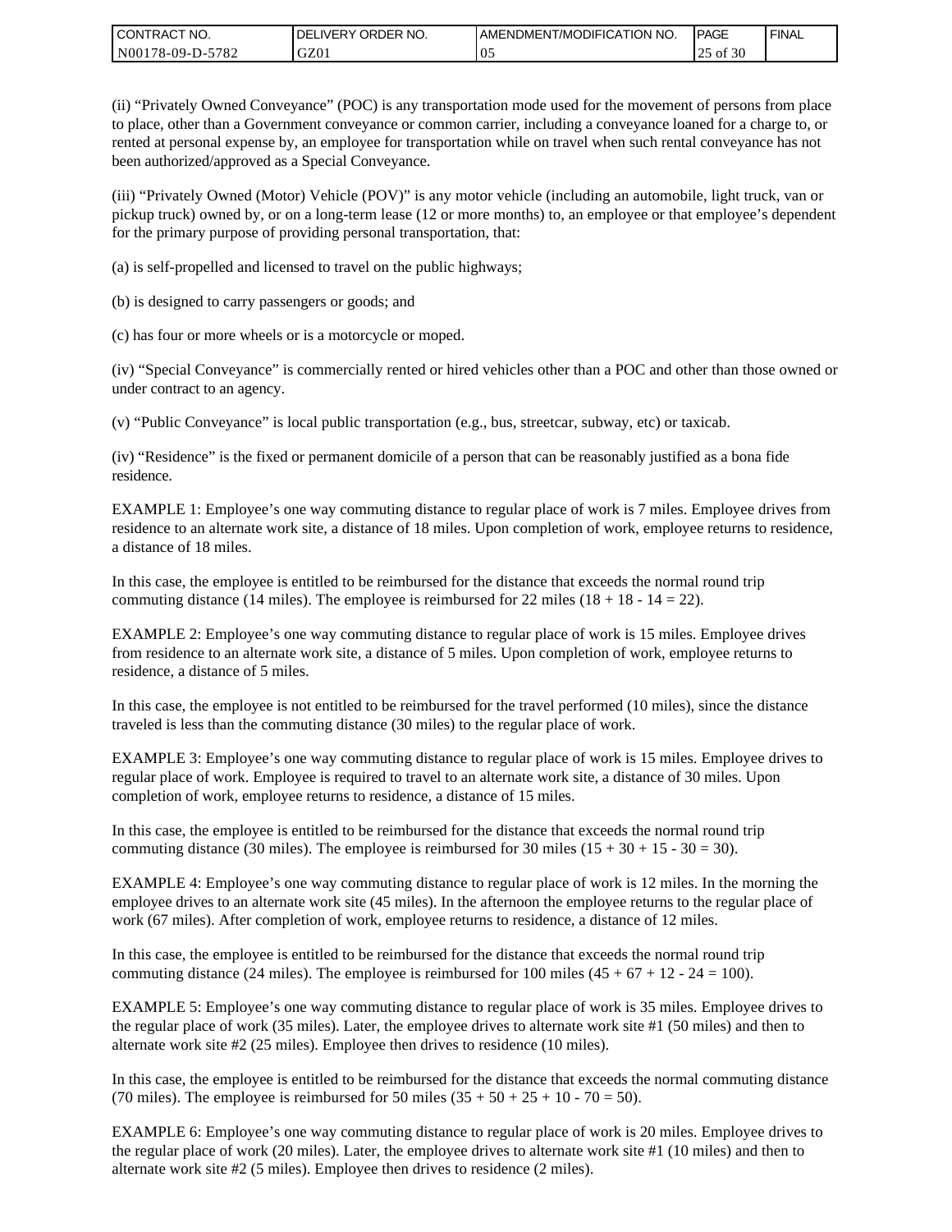| <b>CONTRACT NO.</b> | DELIVERY ORDER NO. | <b>IAMENDMENT/MODIFICATION NO.</b> | <b>PAGE</b> | <b>FINAL</b> |
|---------------------|--------------------|------------------------------------|-------------|--------------|
| N00178-09-D-5782    | GZ01               | v.                                 | of 30<br>رے |              |

(ii) "Privately Owned Conveyance" (POC) is any transportation mode used for the movement of persons from place to place, other than a Government conveyance or common carrier, including a conveyance loaned for a charge to, or rented at personal expense by, an employee for transportation while on travel when such rental conveyance has not been authorized/approved as a Special Conveyance.

(iii) "Privately Owned (Motor) Vehicle (POV)" is any motor vehicle (including an automobile, light truck, van or pickup truck) owned by, or on a long-term lease (12 or more months) to, an employee or that employee's dependent for the primary purpose of providing personal transportation, that:

(a) is self-propelled and licensed to travel on the public highways;

(b) is designed to carry passengers or goods; and

(c) has four or more wheels or is a motorcycle or moped.

(iv) "Special Conveyance" is commercially rented or hired vehicles other than a POC and other than those owned or under contract to an agency.

(v) "Public Conveyance" is local public transportation (e.g., bus, streetcar, subway, etc) or taxicab.

(iv) "Residence" is the fixed or permanent domicile of a person that can be reasonably justified as a bona fide residence.

EXAMPLE 1: Employee's one way commuting distance to regular place of work is 7 miles. Employee drives from residence to an alternate work site, a distance of 18 miles. Upon completion of work, employee returns to residence, a distance of 18 miles.

In this case, the employee is entitled to be reimbursed for the distance that exceeds the normal round trip commuting distance (14 miles). The employee is reimbursed for 22 miles (18 + 18 - 14 = 22).

EXAMPLE 2: Employee's one way commuting distance to regular place of work is 15 miles. Employee drives from residence to an alternate work site, a distance of 5 miles. Upon completion of work, employee returns to residence, a distance of 5 miles.

In this case, the employee is not entitled to be reimbursed for the travel performed (10 miles), since the distance traveled is less than the commuting distance (30 miles) to the regular place of work.

EXAMPLE 3: Employee's one way commuting distance to regular place of work is 15 miles. Employee drives to regular place of work. Employee is required to travel to an alternate work site, a distance of 30 miles. Upon completion of work, employee returns to residence, a distance of 15 miles.

In this case, the employee is entitled to be reimbursed for the distance that exceeds the normal round trip commuting distance (30 miles). The employee is reimbursed for 30 miles  $(15 + 30 + 15 - 30 = 30)$ .

EXAMPLE 4: Employee's one way commuting distance to regular place of work is 12 miles. In the morning the employee drives to an alternate work site (45 miles). In the afternoon the employee returns to the regular place of work (67 miles). After completion of work, employee returns to residence, a distance of 12 miles.

In this case, the employee is entitled to be reimbursed for the distance that exceeds the normal round trip commuting distance (24 miles). The employee is reimbursed for 100 miles  $(45 + 67 + 12 - 24 = 100)$ .

EXAMPLE 5: Employee's one way commuting distance to regular place of work is 35 miles. Employee drives to the regular place of work (35 miles). Later, the employee drives to alternate work site #1 (50 miles) and then to alternate work site #2 (25 miles). Employee then drives to residence (10 miles).

In this case, the employee is entitled to be reimbursed for the distance that exceeds the normal commuting distance (70 miles). The employee is reimbursed for 50 miles  $(35 + 50 + 25 + 10 - 70 = 50)$ .

EXAMPLE 6: Employee's one way commuting distance to regular place of work is 20 miles. Employee drives to the regular place of work (20 miles). Later, the employee drives to alternate work site #1 (10 miles) and then to alternate work site #2 (5 miles). Employee then drives to residence (2 miles).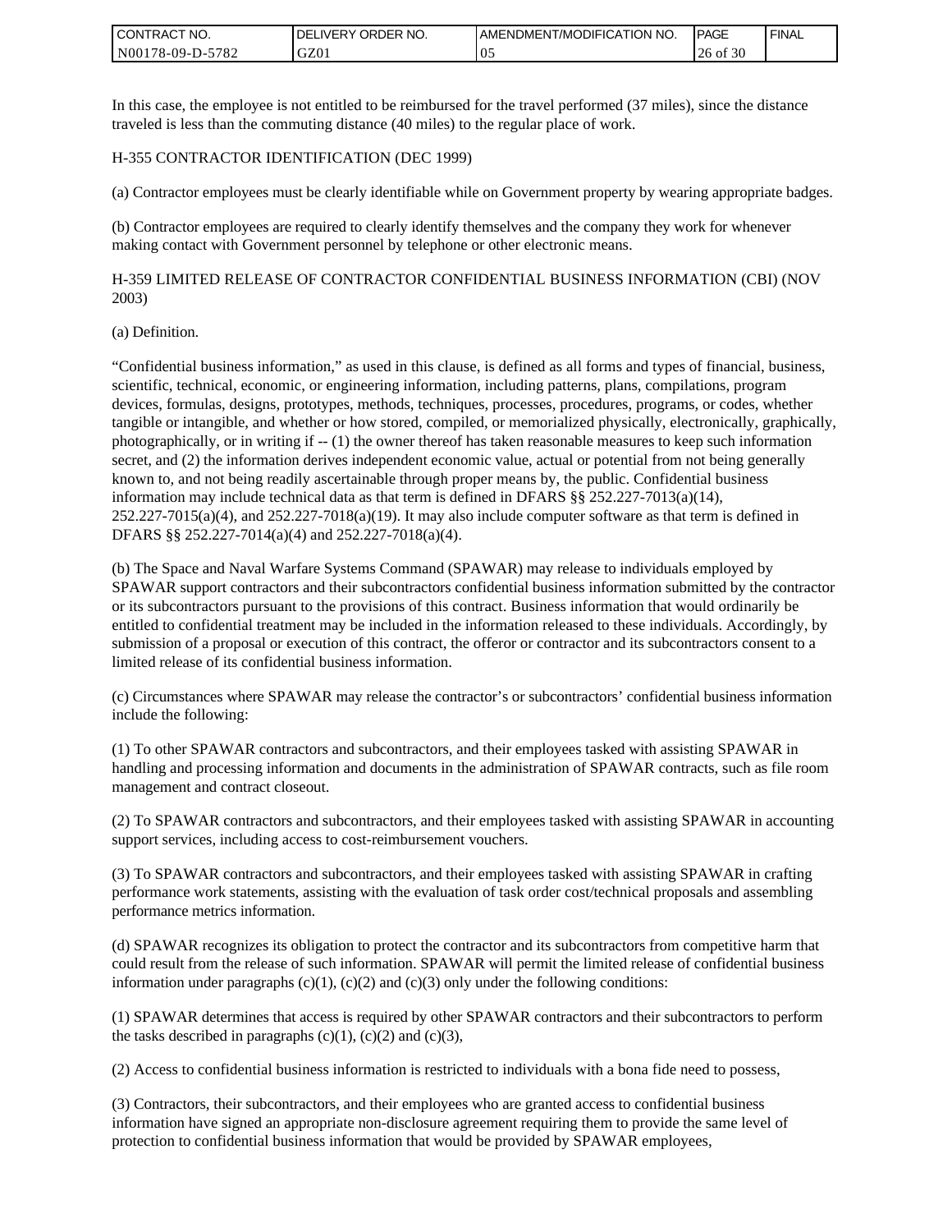| <b>CONTRACT NO.</b> | <b>IDELIVERY ORDER NO.</b> | I AMENDMENT/MODIFICATION NO. | <b>PAGE</b>   | <b>FINAL</b> |
|---------------------|----------------------------|------------------------------|---------------|--------------|
| N00178-09-D-5782    | GZ0 <sub>1</sub>           | v.                           | of $30$<br>26 |              |

In this case, the employee is not entitled to be reimbursed for the travel performed (37 miles), since the distance traveled is less than the commuting distance (40 miles) to the regular place of work.

#### H-355 CONTRACTOR IDENTIFICATION (DEC 1999)

(a) Contractor employees must be clearly identifiable while on Government property by wearing appropriate badges.

(b) Contractor employees are required to clearly identify themselves and the company they work for whenever making contact with Government personnel by telephone or other electronic means.

H-359 LIMITED RELEASE OF CONTRACTOR CONFIDENTIAL BUSINESS INFORMATION (CBI) (NOV 2003)

#### (a) Definition.

"Confidential business information," as used in this clause, is defined as all forms and types of financial, business, scientific, technical, economic, or engineering information, including patterns, plans, compilations, program devices, formulas, designs, prototypes, methods, techniques, processes, procedures, programs, or codes, whether tangible or intangible, and whether or how stored, compiled, or memorialized physically, electronically, graphically, photographically, or in writing if -- (1) the owner thereof has taken reasonable measures to keep such information secret, and (2) the information derives independent economic value, actual or potential from not being generally known to, and not being readily ascertainable through proper means by, the public. Confidential business information may include technical data as that term is defined in DFARS §§ 252.227-7013(a)(14),  $252.227-7015(a)(4)$ , and  $252.227-7018(a)(19)$ . It may also include computer software as that term is defined in DFARS §§ 252.227-7014(a)(4) and 252.227-7018(a)(4). **CONTRACT NO.** (**Protection to confidential business information** the confidential business information that we all the two confidential business information that we all the specifical business information that we all the

(b) The Space and Naval Warfare Systems Command (SPAWAR) may release to individuals employed by SPAWAR support contractors and their subcontractors confidential business information submitted by the contractor or its subcontractors pursuant to the provisions of this contract. Business information that would ordinarily be entitled to confidential treatment may be included in the information released to these individuals. Accordingly, by submission of a proposal or execution of this contract, the offeror or contractor and its subcontractors consent to a limited release of its confidential business information.

(c) Circumstances where SPAWAR may release the contractor's or subcontractors' confidential business information include the following:

(1) To other SPAWAR contractors and subcontractors, and their employees tasked with assisting SPAWAR in handling and processing information and documents in the administration of SPAWAR contracts, such as file room management and contract closeout.

(2) To SPAWAR contractors and subcontractors, and their employees tasked with assisting SPAWAR in accounting support services, including access to cost-reimbursement vouchers.

(3) To SPAWAR contractors and subcontractors, and their employees tasked with assisting SPAWAR in crafting performance work statements, assisting with the evaluation of task order cost/technical proposals and assembling performance metrics information.

(d) SPAWAR recognizes its obligation to protect the contractor and its subcontractors from competitive harm that could result from the release of such information. SPAWAR will permit the limited release of confidential business information under paragraphs  $(c)(1)$ ,  $(c)(2)$  and  $(c)(3)$  only under the following conditions:

(1) SPAWAR determines that access is required by other SPAWAR contractors and their subcontractors to perform the tasks described in paragraphs  $(c)(1)$ ,  $(c)(2)$  and  $(c)(3)$ ,

(2) Access to confidential business information is restricted to individuals with a bona fide need to possess,

(3) Contractors, their subcontractors, and their employees who are granted access to confidential business information have signed an appropriate non-disclosure agreement requiring them to provide the same level of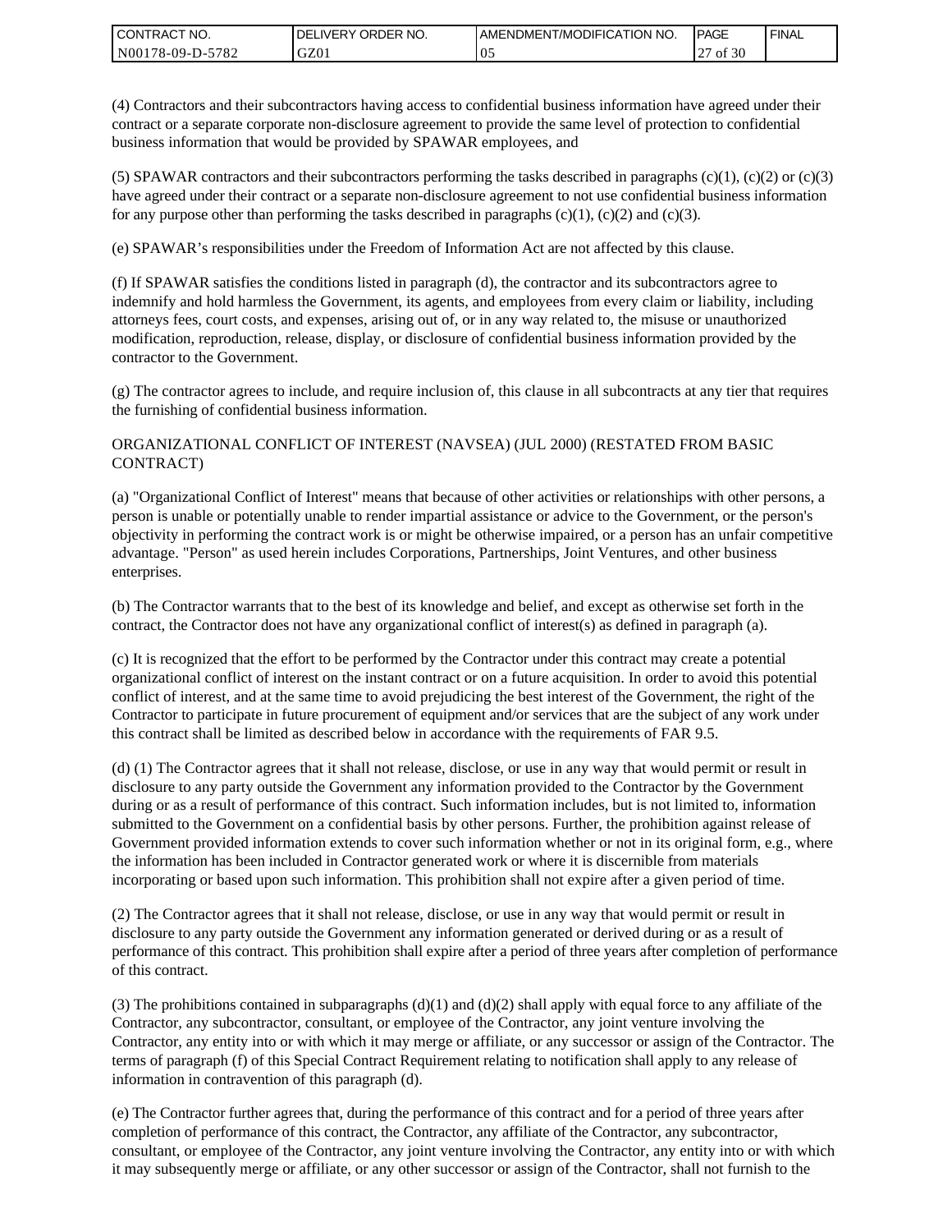| <b>CONTRACT NO.</b> | ' ORDER NO.<br><b>DELIVERY</b> | <b>I AMENDMENT/MODIFICATION NO.</b> | <b>PAGE</b> | <b>FINAL</b> |
|---------------------|--------------------------------|-------------------------------------|-------------|--------------|
| N00178-09-D-5782    | GZ01                           | $\upsilon$ .                        | of 30       |              |

(4) Contractors and their subcontractors having access to confidential business information have agreed under their contract or a separate corporate non-disclosure agreement to provide the same level of protection to confidential business information that would be provided by SPAWAR employees, and

(5) SPAWAR contractors and their subcontractors performing the tasks described in paragraphs  $(c)(1)$ ,  $(c)(2)$  or  $(c)(3)$ have agreed under their contract or a separate non-disclosure agreement to not use confidential business information for any purpose other than performing the tasks described in paragraphs  $(c)(1)$ ,  $(c)(2)$  and  $(c)(3)$ .

(e) SPAWAR's responsibilities under the Freedom of Information Act are not affected by this clause.

(f) If SPAWAR satisfies the conditions listed in paragraph (d), the contractor and its subcontractors agree to indemnify and hold harmless the Government, its agents, and employees from every claim or liability, including attorneys fees, court costs, and expenses, arising out of, or in any way related to, the misuse or unauthorized modification, reproduction, release, display, or disclosure of confidential business information provided by the contractor to the Government.

(g) The contractor agrees to include, and require inclusion of, this clause in all subcontracts at any tier that requires the furnishing of confidential business information.

#### ORGANIZATIONAL CONFLICT OF INTEREST (NAVSEA) (JUL 2000) (RESTATED FROM BASIC CONTRACT)

(a) "Organizational Conflict of Interest" means that because of other activities or relationships with other persons, a person is unable or potentially unable to render impartial assistance or advice to the Government, or the person's objectivity in performing the contract work is or might be otherwise impaired, or a person has an unfair competitive advantage. "Person" as used herein includes Corporations, Partnerships, Joint Ventures, and other business enterprises.

(b) The Contractor warrants that to the best of its knowledge and belief, and except as otherwise set forth in the contract, the Contractor does not have any organizational conflict of interest(s) as defined in paragraph (a).

(c) It is recognized that the effort to be performed by the Contractor under this contract may create a potential organizational conflict of interest on the instant contract or on a future acquisition. In order to avoid this potential conflict of interest, and at the same time to avoid prejudicing the best interest of the Government, the right of the Contractor to participate in future procurement of equipment and/or services that are the subject of any work under this contract shall be limited as described below in accordance with the requirements of FAR 9.5.

(d) (1) The Contractor agrees that it shall not release, disclose, or use in any way that would permit or result in disclosure to any party outside the Government any information provided to the Contractor by the Government during or as a result of performance of this contract. Such information includes, but is not limited to, information submitted to the Government on a confidential basis by other persons. Further, the prohibition against release of Government provided information extends to cover such information whether or not in its original form, e.g., where the information has been included in Contractor generated work or where it is discernible from materials incorporating or based upon such information. This prohibition shall not expire after a given period of time.

(2) The Contractor agrees that it shall not release, disclose, or use in any way that would permit or result in disclosure to any party outside the Government any information generated or derived during or as a result of performance of this contract. This prohibition shall expire after a period of three years after completion of performance of this contract.

(3) The prohibitions contained in subparagraphs  $(d)(1)$  and  $(d)(2)$  shall apply with equal force to any affiliate of the Contractor, any subcontractor, consultant, or employee of the Contractor, any joint venture involving the Contractor, any entity into or with which it may merge or affiliate, or any successor or assign of the Contractor. The terms of paragraph (f) of this Special Contract Requirement relating to notification shall apply to any release of information in contravention of this paragraph (d).

(e) The Contractor further agrees that, during the performance of this contract and for a period of three years after completion of performance of this contract, the Contractor, any affiliate of the Contractor, any subcontractor, consultant, or employee of the Contractor, any joint venture involving the Contractor, any entity into or with which it may subsequently merge or affiliate, or any other successor or assign of the Contractor, shall not furnish to the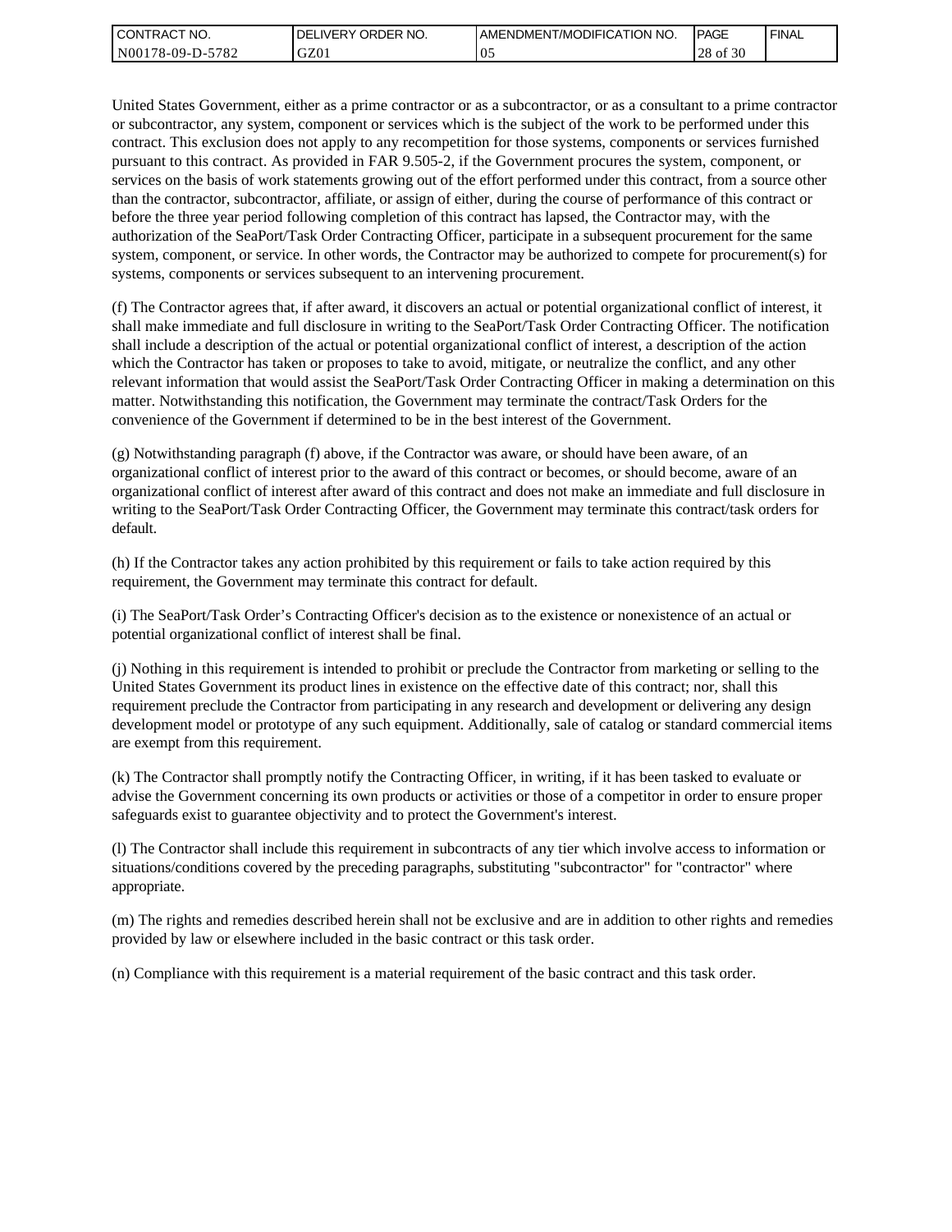| I CONTRACT NO.   | ' ORDER NO.<br>DEL<br>_IVERY | I AMENDMENT/MODIFICATION NO. | <b>IPAGE</b>        | <b>FINAL</b> |
|------------------|------------------------------|------------------------------|---------------------|--------------|
| N00178-09-D-5782 | GZ01                         | vJ                           | c no<br>28<br>of 30 |              |

United States Government, either as a prime contractor or as a subcontractor, or as a consultant to a prime contractor or subcontractor, any system, component or services which is the subject of the work to be performed under this contract. This exclusion does not apply to any recompetition for those systems, components or services furnished pursuant to this contract. As provided in FAR 9.505-2, if the Government procures the system, component, or services on the basis of work statements growing out of the effort performed under this contract, from a source other than the contractor, subcontractor, affiliate, or assign of either, during the course of performance of this contract or before the three year period following completion of this contract has lapsed, the Contractor may, with the authorization of the SeaPort/Task Order Contracting Officer, participate in a subsequent procurement for the same system, component, or service. In other words, the Contractor may be authorized to compete for procurement(s) for systems, components or services subsequent to an intervening procurement.

(f) The Contractor agrees that, if after award, it discovers an actual or potential organizational conflict of interest, it shall make immediate and full disclosure in writing to the SeaPort/Task Order Contracting Officer. The notification shall include a description of the actual or potential organizational conflict of interest, a description of the action which the Contractor has taken or proposes to take to avoid, mitigate, or neutralize the conflict, and any other relevant information that would assist the SeaPort/Task Order Contracting Officer in making a determination on this matter. Notwithstanding this notification, the Government may terminate the contract/Task Orders for the convenience of the Government if determined to be in the best interest of the Government.

(g) Notwithstanding paragraph (f) above, if the Contractor was aware, or should have been aware, of an organizational conflict of interest prior to the award of this contract or becomes, or should become, aware of an organizational conflict of interest after award of this contract and does not make an immediate and full disclosure in writing to the SeaPort/Task Order Contracting Officer, the Government may terminate this contract/task orders for default.

(h) If the Contractor takes any action prohibited by this requirement or fails to take action required by this requirement, the Government may terminate this contract for default.

(i) The SeaPort/Task Order's Contracting Officer's decision as to the existence or nonexistence of an actual or potential organizational conflict of interest shall be final.

(j) Nothing in this requirement is intended to prohibit or preclude the Contractor from marketing or selling to the United States Government its product lines in existence on the effective date of this contract; nor, shall this requirement preclude the Contractor from participating in any research and development or delivering any design development model or prototype of any such equipment. Additionally, sale of catalog or standard commercial items are exempt from this requirement.

(k) The Contractor shall promptly notify the Contracting Officer, in writing, if it has been tasked to evaluate or advise the Government concerning its own products or activities or those of a competitor in order to ensure proper safeguards exist to guarantee objectivity and to protect the Government's interest.

(l) The Contractor shall include this requirement in subcontracts of any tier which involve access to information or situations/conditions covered by the preceding paragraphs, substituting "subcontractor" for "contractor" where appropriate.

(m) The rights and remedies described herein shall not be exclusive and are in addition to other rights and remedies provided by law or elsewhere included in the basic contract or this task order.

(n) Compliance with this requirement is a material requirement of the basic contract and this task order.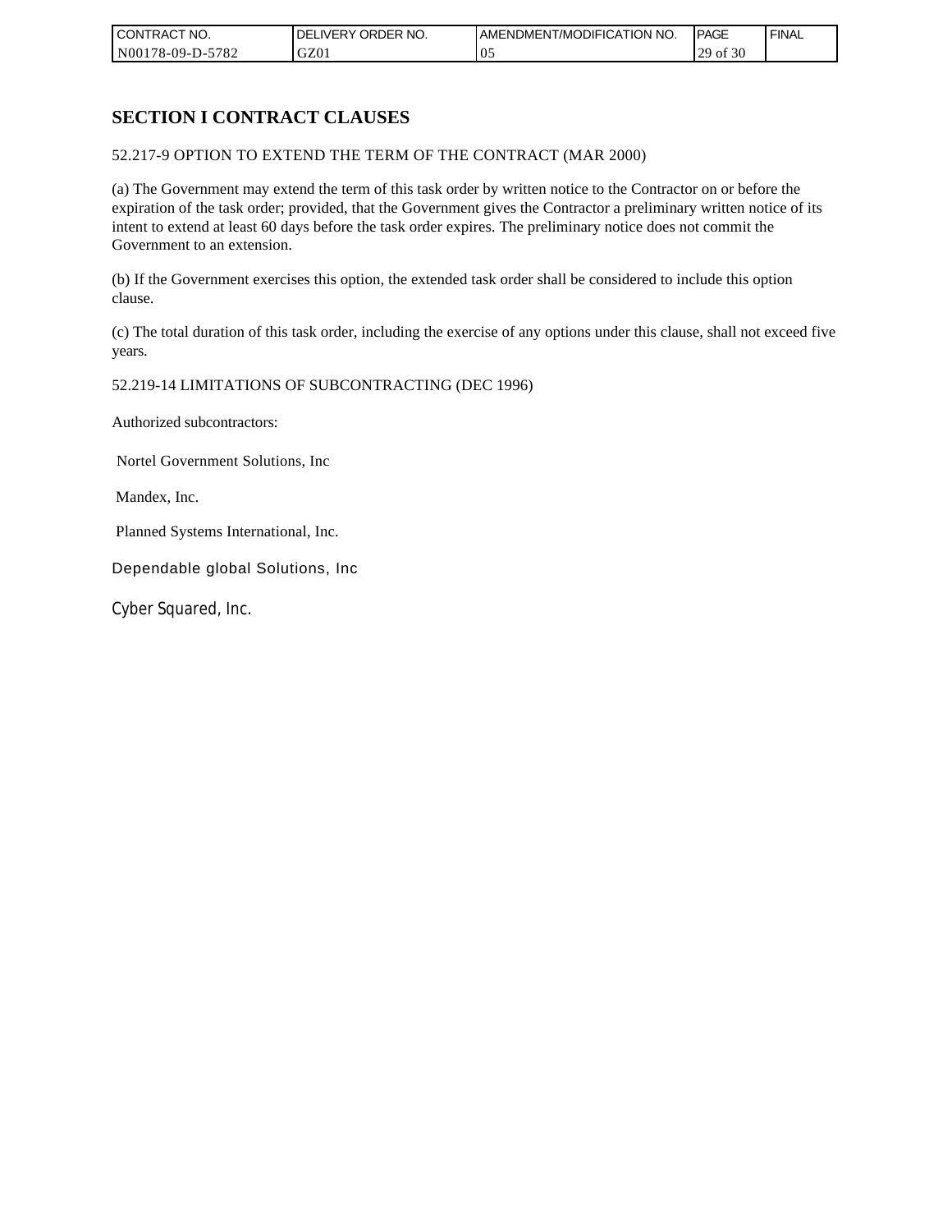| CONTRACT NO.     | ORDER <sup>'</sup><br>NO.<br>DELI<br>.IVERY | AMENDMENT/MODIFICATION NO. | <b>IPAGE</b>            | <b>FINAL</b> |
|------------------|---------------------------------------------|----------------------------|-------------------------|--------------|
| N00178-09-D-5782 | GZ01                                        | v.                         | f 30<br>ാവ<br>`01<br>رے |              |

## **SECTION I CONTRACT CLAUSES**

#### 52.217-9 OPTION TO EXTEND THE TERM OF THE CONTRACT (MAR 2000)

(a) The Government may extend the term of this task order by written notice to the Contractor on or before the expiration of the task order; provided, that the Government gives the Contractor a preliminary written notice of its intent to extend at least 60 days before the task order expires. The preliminary notice does not commit the Government to an extension.

(b) If the Government exercises this option, the extended task order shall be considered to include this option clause.

(c) The total duration of this task order, including the exercise of any options under this clause, shall not exceed five years.

#### 52.219-14 LIMITATIONS OF SUBCONTRACTING (DEC 1996)

Authorized subcontractors:

Nortel Government Solutions, Inc

Mandex, Inc.

Planned Systems International, Inc.

Dependable global Solutions, Inc

Cyber Squared, Inc.